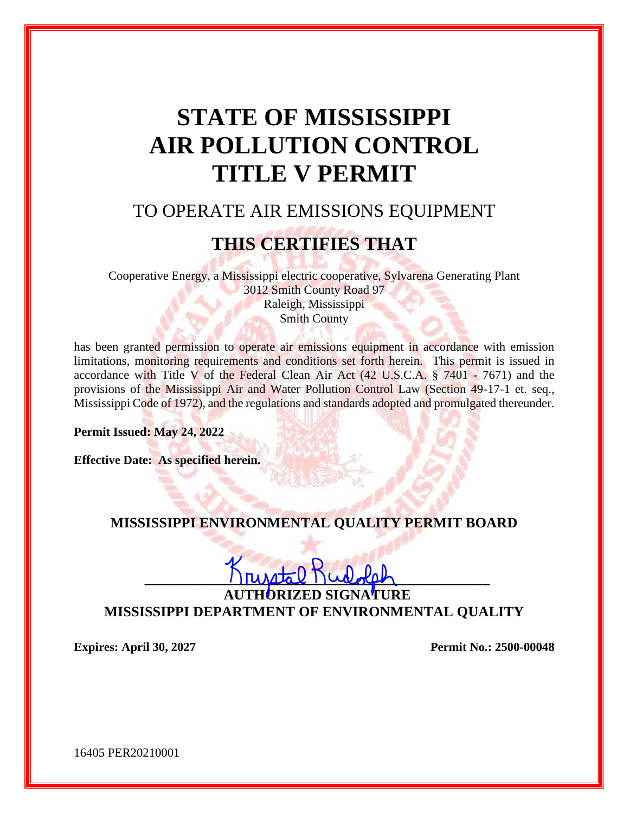# **STATE OF MISSISSIPPI AIR POLLUTION CONTROL TITLE V PERMIT**

## TO OPERATE AIR EMISSIONS EQUIPMENT

## **THIS CERTIFIES THAT**

Cooperative Energy, a Mississippi electric cooperative, Sylvarena Generating Plant 3012 Smith County Road 97 Raleigh, Mississippi Smith County

has been granted permission to operate air emissions equipment in accordance with emission limitations, monitoring requirements and conditions set forth herein. This permit is issued in accordance with Title V of the Federal Clean Air Act  $(42 \text{ U.S.C.A.} \text{ § } 7401 - 7671)$  and the provisions of the Mississippi Air and Water Pollution Control Law (Section 49-17-1 et. seq., Mississippi Code of 1972), and the regulations and standards adopted and promulgated thereunder.

**Permit Issued: May 24, 2022**

**Effective Date: As specified herein.** 

## **MISSISSIPPI ENVIRONMENTAL QUALITY PERMIT BOARD**

# $rule 0pt]$

**AUTE MISSISSIPPI DEPARTMENT OF ENVIRONMENTAL QUALITY**

**Expires: April 30, 2027 Permit No.: 2500-00048**

16405 PER20210001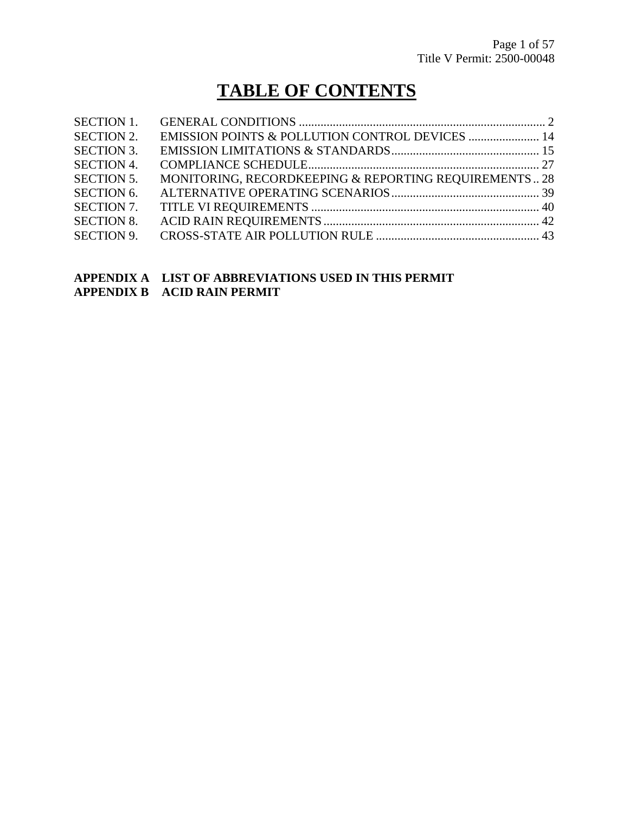## **TABLE OF CONTENTS**

| <b>SECTION 1.</b> |                                                       |  |
|-------------------|-------------------------------------------------------|--|
| <b>SECTION 2.</b> | EMISSION POINTS & POLLUTION CONTROL DEVICES  14       |  |
| <b>SECTION 3.</b> |                                                       |  |
| <b>SECTION 4.</b> |                                                       |  |
| <b>SECTION 5.</b> | MONITORING, RECORDKEEPING & REPORTING REQUIREMENTS 28 |  |
| <b>SECTION 6.</b> |                                                       |  |
| <b>SECTION 7.</b> |                                                       |  |
| <b>SECTION 8.</b> |                                                       |  |
| <b>SECTION 9.</b> |                                                       |  |
|                   |                                                       |  |

#### **APPENDIX A LIST OF ABBREVIATIONS USED IN THIS PERMIT APPENDIX B ACID RAIN PERMIT**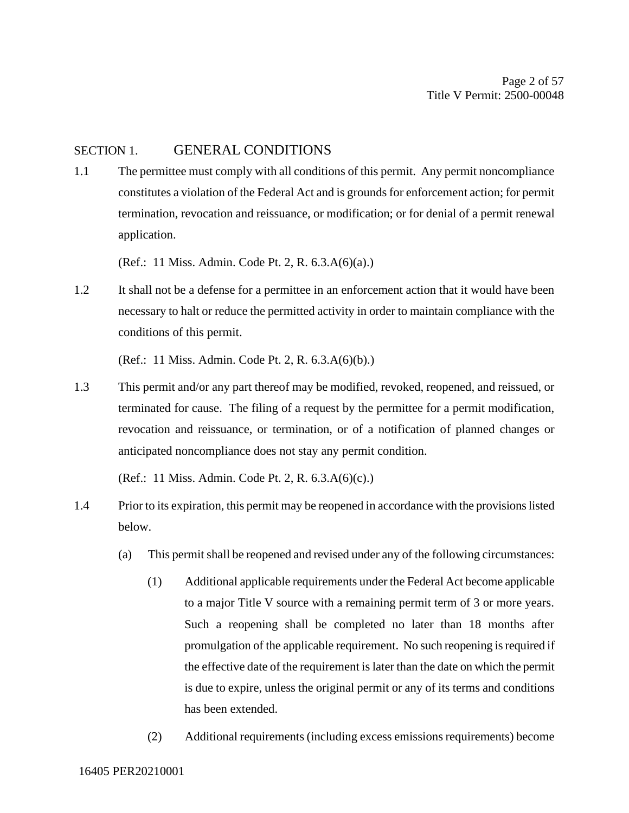#### SECTION 1. GENERAL CONDITIONS

1.1 The permittee must comply with all conditions of this permit. Any permit noncompliance constitutes a violation of the Federal Act and is grounds for enforcement action; for permit termination, revocation and reissuance, or modification; or for denial of a permit renewal application.

(Ref.: 11 Miss. Admin. Code Pt. 2, R. 6.3.A(6)(a).)

1.2 It shall not be a defense for a permittee in an enforcement action that it would have been necessary to halt or reduce the permitted activity in order to maintain compliance with the conditions of this permit.

(Ref.: 11 Miss. Admin. Code Pt. 2, R. 6.3.A(6)(b).)

1.3 This permit and/or any part thereof may be modified, revoked, reopened, and reissued, or terminated for cause. The filing of a request by the permittee for a permit modification, revocation and reissuance, or termination, or of a notification of planned changes or anticipated noncompliance does not stay any permit condition.

(Ref.: 11 Miss. Admin. Code Pt. 2, R. 6.3.A(6)(c).)

- 1.4 Prior to its expiration, this permit may be reopened in accordance with the provisions listed below.
	- (a) This permit shall be reopened and revised under any of the following circumstances:
		- (1) Additional applicable requirements under the Federal Act become applicable to a major Title V source with a remaining permit term of 3 or more years. Such a reopening shall be completed no later than 18 months after promulgation of the applicable requirement. No such reopening is required if the effective date of the requirement is later than the date on which the permit is due to expire, unless the original permit or any of its terms and conditions has been extended.
		- (2) Additional requirements (including excess emissions requirements) become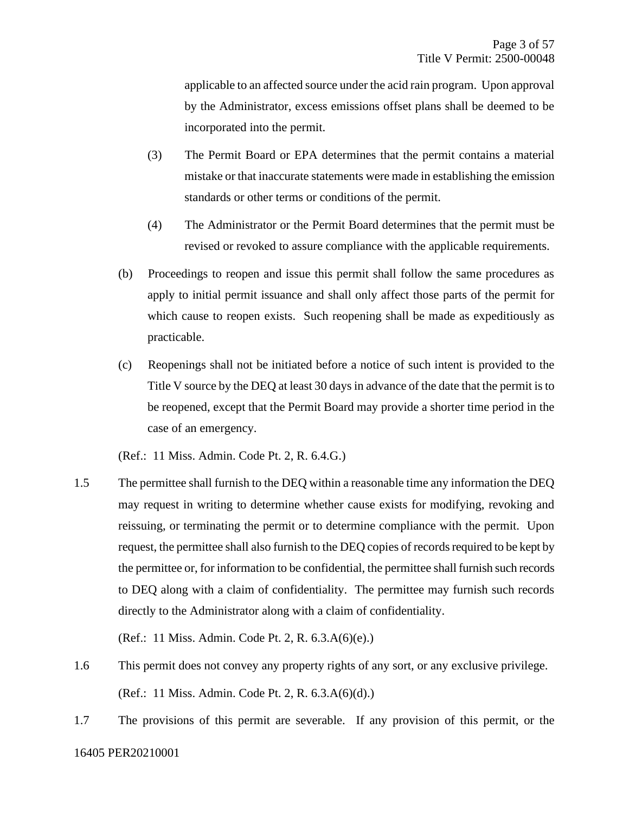applicable to an affected source under the acid rain program. Upon approval by the Administrator, excess emissions offset plans shall be deemed to be incorporated into the permit.

- (3) The Permit Board or EPA determines that the permit contains a material mistake or that inaccurate statements were made in establishing the emission standards or other terms or conditions of the permit.
- (4) The Administrator or the Permit Board determines that the permit must be revised or revoked to assure compliance with the applicable requirements.
- (b) Proceedings to reopen and issue this permit shall follow the same procedures as apply to initial permit issuance and shall only affect those parts of the permit for which cause to reopen exists. Such reopening shall be made as expeditiously as practicable.
- (c) Reopenings shall not be initiated before a notice of such intent is provided to the Title V source by the DEQ at least 30 days in advance of the date that the permit is to be reopened, except that the Permit Board may provide a shorter time period in the case of an emergency.

(Ref.: 11 Miss. Admin. Code Pt. 2, R. 6.4.G.)

1.5 The permittee shall furnish to the DEQ within a reasonable time any information the DEQ may request in writing to determine whether cause exists for modifying, revoking and reissuing, or terminating the permit or to determine compliance with the permit. Upon request, the permittee shall also furnish to the DEQ copies of records required to be kept by the permittee or, for information to be confidential, the permittee shall furnish such records to DEQ along with a claim of confidentiality. The permittee may furnish such records directly to the Administrator along with a claim of confidentiality.

(Ref.: 11 Miss. Admin. Code Pt. 2, R. 6.3.A(6)(e).)

- 1.6 This permit does not convey any property rights of any sort, or any exclusive privilege. (Ref.: 11 Miss. Admin. Code Pt. 2, R. 6.3.A(6)(d).)
- 1.7 The provisions of this permit are severable. If any provision of this permit, or the

16405 PER20210001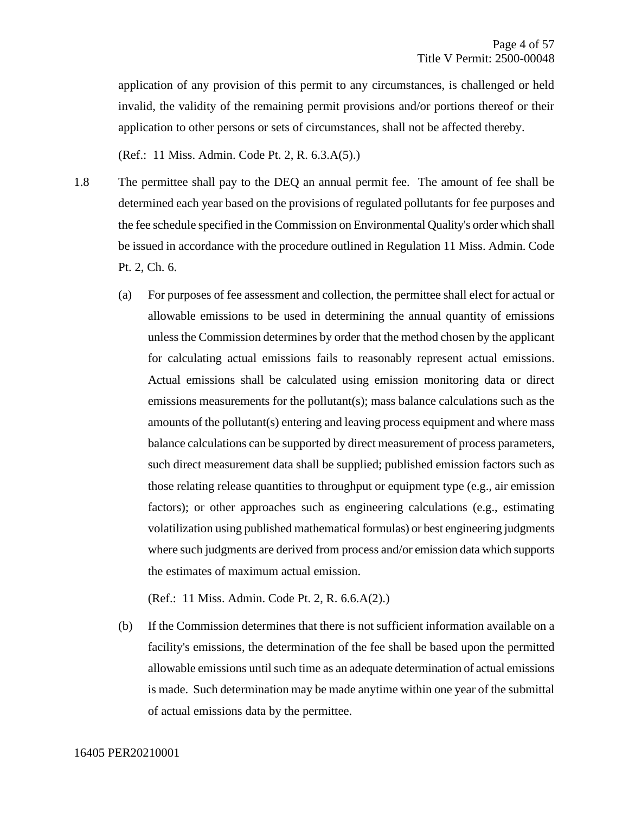application of any provision of this permit to any circumstances, is challenged or held invalid, the validity of the remaining permit provisions and/or portions thereof or their application to other persons or sets of circumstances, shall not be affected thereby.

(Ref.: 11 Miss. Admin. Code Pt. 2, R. 6.3.A(5).)

- 1.8 The permittee shall pay to the DEQ an annual permit fee. The amount of fee shall be determined each year based on the provisions of regulated pollutants for fee purposes and the fee schedule specified in the Commission on Environmental Quality's order which shall be issued in accordance with the procedure outlined in Regulation 11 Miss. Admin. Code Pt. 2, Ch. 6.
	- (a) For purposes of fee assessment and collection, the permittee shall elect for actual or allowable emissions to be used in determining the annual quantity of emissions unless the Commission determines by order that the method chosen by the applicant for calculating actual emissions fails to reasonably represent actual emissions. Actual emissions shall be calculated using emission monitoring data or direct emissions measurements for the pollutant(s); mass balance calculations such as the amounts of the pollutant(s) entering and leaving process equipment and where mass balance calculations can be supported by direct measurement of process parameters, such direct measurement data shall be supplied; published emission factors such as those relating release quantities to throughput or equipment type (e.g., air emission factors); or other approaches such as engineering calculations (e.g., estimating volatilization using published mathematical formulas) or best engineering judgments where such judgments are derived from process and/or emission data which supports the estimates of maximum actual emission.

(Ref.: 11 Miss. Admin. Code Pt. 2, R. 6.6.A(2).)

(b) If the Commission determines that there is not sufficient information available on a facility's emissions, the determination of the fee shall be based upon the permitted allowable emissions until such time as an adequate determination of actual emissions is made. Such determination may be made anytime within one year of the submittal of actual emissions data by the permittee.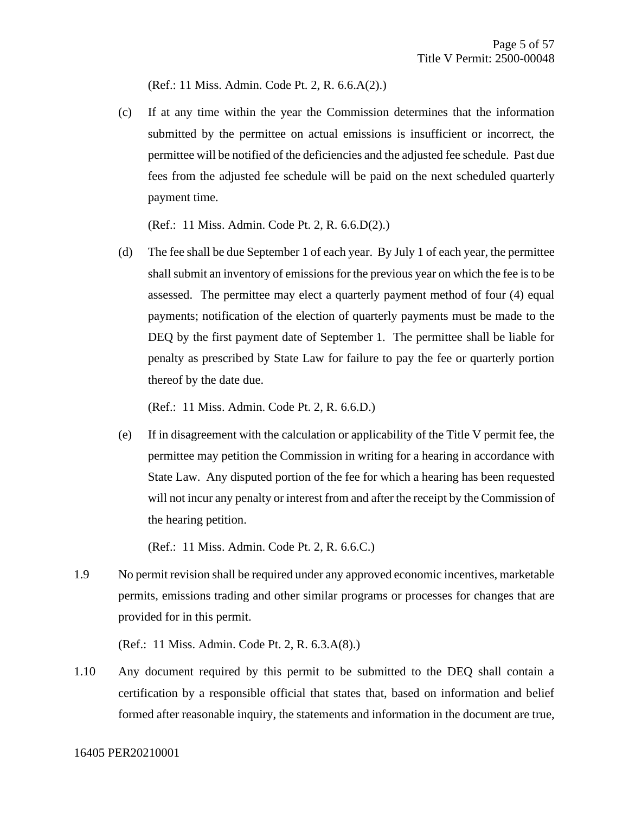(Ref.: 11 Miss. Admin. Code Pt. 2, R. 6.6.A(2).)

(c) If at any time within the year the Commission determines that the information submitted by the permittee on actual emissions is insufficient or incorrect, the permittee will be notified of the deficiencies and the adjusted fee schedule. Past due fees from the adjusted fee schedule will be paid on the next scheduled quarterly payment time.

(Ref.: 11 Miss. Admin. Code Pt. 2, R. 6.6.D(2).)

(d) The fee shall be due September 1 of each year. By July 1 of each year, the permittee shall submit an inventory of emissions for the previous year on which the fee is to be assessed. The permittee may elect a quarterly payment method of four (4) equal payments; notification of the election of quarterly payments must be made to the DEQ by the first payment date of September 1. The permittee shall be liable for penalty as prescribed by State Law for failure to pay the fee or quarterly portion thereof by the date due.

(Ref.: 11 Miss. Admin. Code Pt. 2, R. 6.6.D.)

(e) If in disagreement with the calculation or applicability of the Title V permit fee, the permittee may petition the Commission in writing for a hearing in accordance with State Law. Any disputed portion of the fee for which a hearing has been requested will not incur any penalty or interest from and after the receipt by the Commission of the hearing petition.

(Ref.: 11 Miss. Admin. Code Pt. 2, R. 6.6.C.)

1.9 No permit revision shall be required under any approved economic incentives, marketable permits, emissions trading and other similar programs or processes for changes that are provided for in this permit.

(Ref.: 11 Miss. Admin. Code Pt. 2, R. 6.3.A(8).)

1.10 Any document required by this permit to be submitted to the DEQ shall contain a certification by a responsible official that states that, based on information and belief formed after reasonable inquiry, the statements and information in the document are true,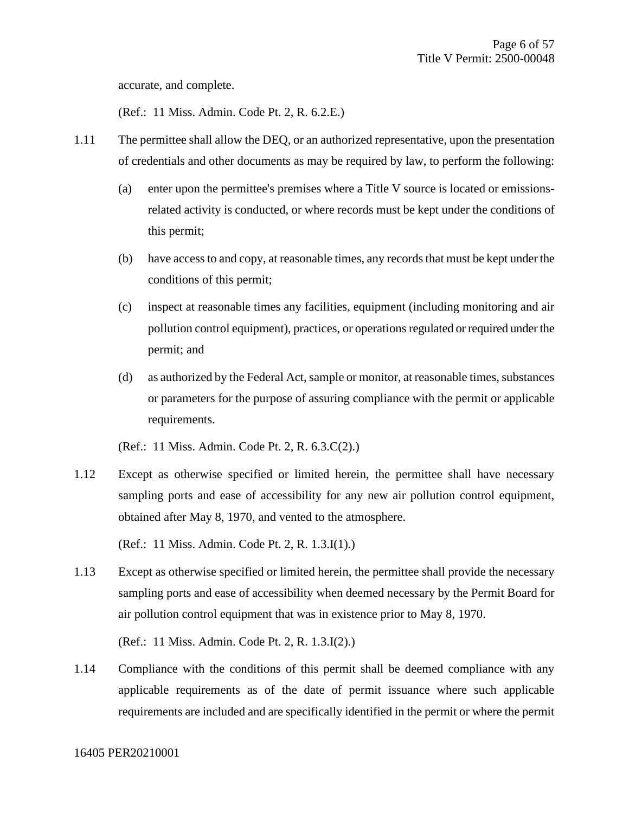accurate, and complete.

(Ref.: 11 Miss. Admin. Code Pt. 2, R. 6.2.E.)

- 1.11 The permittee shall allow the DEQ, or an authorized representative, upon the presentation of credentials and other documents as may be required by law, to perform the following:
	- (a) enter upon the permittee's premises where a Title V source is located or emissionsrelated activity is conducted, or where records must be kept under the conditions of this permit;
	- (b) have access to and copy, at reasonable times, any records that must be kept under the conditions of this permit;
	- (c) inspect at reasonable times any facilities, equipment (including monitoring and air pollution control equipment), practices, or operations regulated or required under the permit; and
	- (d) as authorized by the Federal Act, sample or monitor, at reasonable times, substances or parameters for the purpose of assuring compliance with the permit or applicable requirements.

(Ref.: 11 Miss. Admin. Code Pt. 2, R. 6.3.C(2).)

1.12 Except as otherwise specified or limited herein, the permittee shall have necessary sampling ports and ease of accessibility for any new air pollution control equipment, obtained after May 8, 1970, and vented to the atmosphere.

(Ref.: 11 Miss. Admin. Code Pt. 2, R. 1.3.I(1).)

1.13 Except as otherwise specified or limited herein, the permittee shall provide the necessary sampling ports and ease of accessibility when deemed necessary by the Permit Board for air pollution control equipment that was in existence prior to May 8, 1970.

(Ref.: 11 Miss. Admin. Code Pt. 2, R. 1.3.I(2).)

1.14 Compliance with the conditions of this permit shall be deemed compliance with any applicable requirements as of the date of permit issuance where such applicable requirements are included and are specifically identified in the permit or where the permit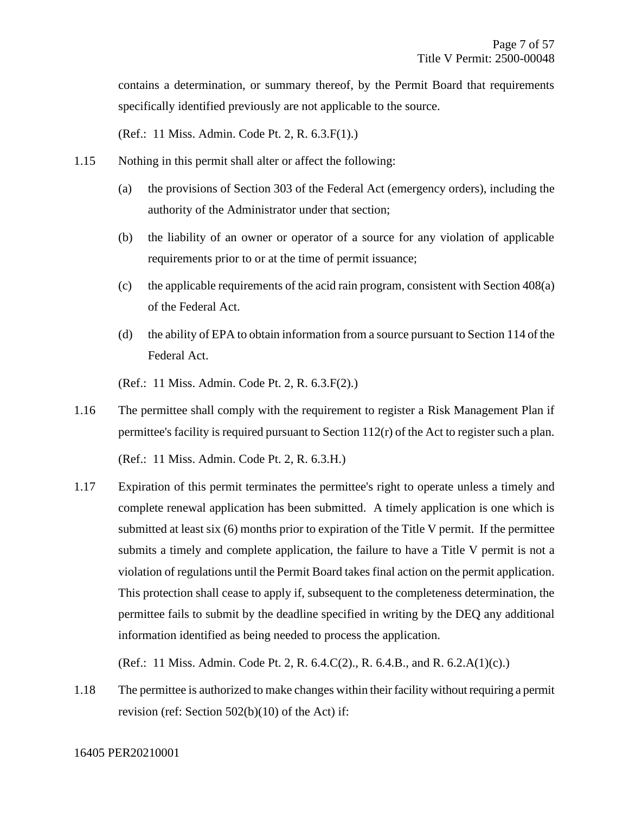contains a determination, or summary thereof, by the Permit Board that requirements specifically identified previously are not applicable to the source.

(Ref.: 11 Miss. Admin. Code Pt. 2, R. 6.3.F(1).)

- 1.15 Nothing in this permit shall alter or affect the following:
	- (a) the provisions of Section 303 of the Federal Act (emergency orders), including the authority of the Administrator under that section;
	- (b) the liability of an owner or operator of a source for any violation of applicable requirements prior to or at the time of permit issuance;
	- (c) the applicable requirements of the acid rain program, consistent with Section 408(a) of the Federal Act.
	- (d) the ability of EPA to obtain information from a source pursuant to Section 114 of the Federal Act.

(Ref.: 11 Miss. Admin. Code Pt. 2, R. 6.3.F(2).)

1.16 The permittee shall comply with the requirement to register a Risk Management Plan if permittee's facility is required pursuant to Section 112(r) of the Act to register such a plan.

(Ref.: 11 Miss. Admin. Code Pt. 2, R. 6.3.H.)

1.17 Expiration of this permit terminates the permittee's right to operate unless a timely and complete renewal application has been submitted. A timely application is one which is submitted at least six (6) months prior to expiration of the Title V permit. If the permittee submits a timely and complete application, the failure to have a Title V permit is not a violation of regulations until the Permit Board takes final action on the permit application. This protection shall cease to apply if, subsequent to the completeness determination, the permittee fails to submit by the deadline specified in writing by the DEQ any additional information identified as being needed to process the application.

(Ref.: 11 Miss. Admin. Code Pt. 2, R. 6.4.C(2)., R. 6.4.B., and R. 6.2.A(1)(c).)

1.18 The permittee is authorized to make changes within their facility without requiring a permit revision (ref: Section 502(b)(10) of the Act) if: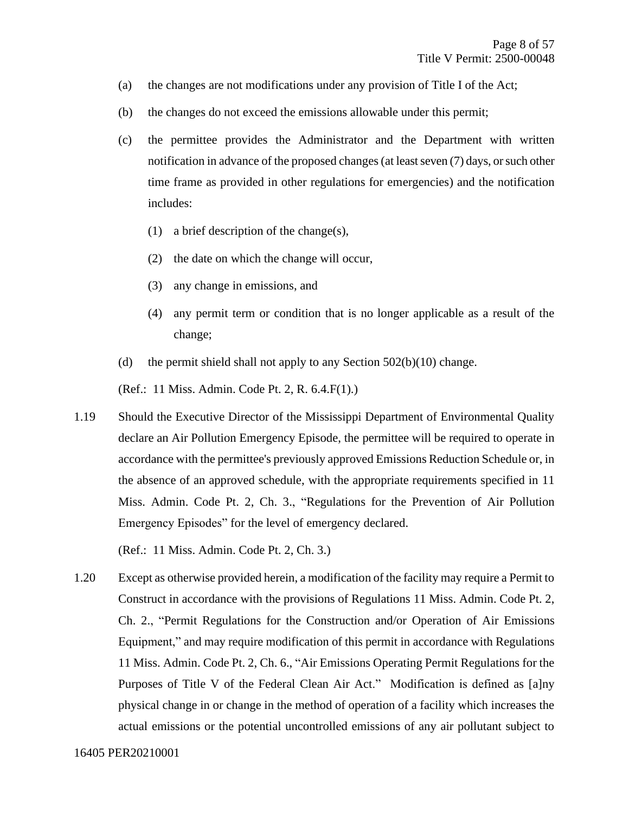- (a) the changes are not modifications under any provision of Title I of the Act;
- (b) the changes do not exceed the emissions allowable under this permit;
- (c) the permittee provides the Administrator and the Department with written notification in advance of the proposed changes (at least seven (7) days, or such other time frame as provided in other regulations for emergencies) and the notification includes:
	- (1) a brief description of the change(s),
	- (2) the date on which the change will occur,
	- (3) any change in emissions, and
	- (4) any permit term or condition that is no longer applicable as a result of the change;
- (d) the permit shield shall not apply to any Section  $502(b)(10)$  change.

(Ref.: 11 Miss. Admin. Code Pt. 2, R. 6.4.F(1).)

1.19 Should the Executive Director of the Mississippi Department of Environmental Quality declare an Air Pollution Emergency Episode, the permittee will be required to operate in accordance with the permittee's previously approved Emissions Reduction Schedule or, in the absence of an approved schedule, with the appropriate requirements specified in 11 Miss. Admin. Code Pt. 2, Ch. 3., "Regulations for the Prevention of Air Pollution Emergency Episodes" for the level of emergency declared.

(Ref.: 11 Miss. Admin. Code Pt. 2, Ch. 3.)

1.20 Except as otherwise provided herein, a modification of the facility may require a Permit to Construct in accordance with the provisions of Regulations 11 Miss. Admin. Code Pt. 2, Ch. 2., "Permit Regulations for the Construction and/or Operation of Air Emissions Equipment," and may require modification of this permit in accordance with Regulations 11 Miss. Admin. Code Pt. 2, Ch. 6., "Air Emissions Operating Permit Regulations for the Purposes of Title V of the Federal Clean Air Act." Modification is defined as [a]ny physical change in or change in the method of operation of a facility which increases the actual emissions or the potential uncontrolled emissions of any air pollutant subject to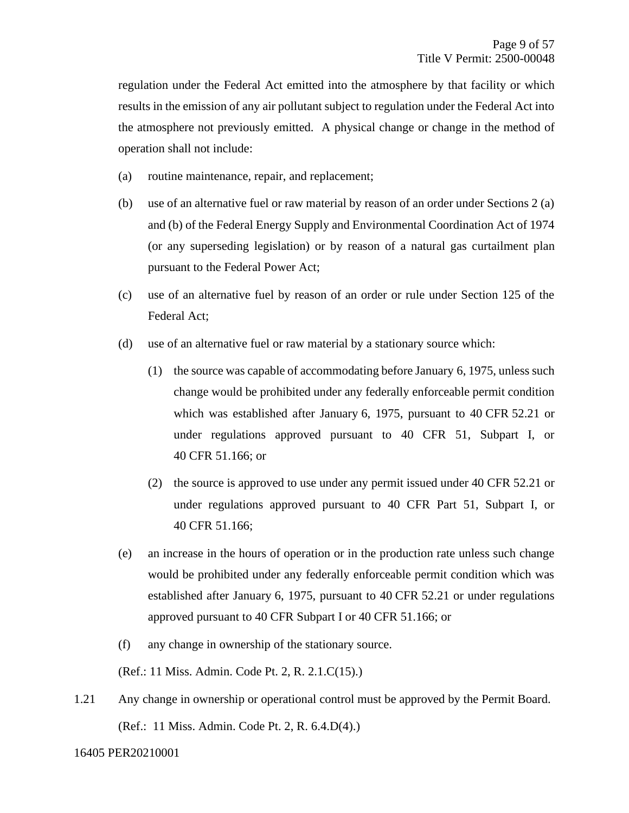regulation under the Federal Act emitted into the atmosphere by that facility or which results in the emission of any air pollutant subject to regulation under the Federal Act into the atmosphere not previously emitted. A physical change or change in the method of operation shall not include:

- (a) routine maintenance, repair, and replacement;
- (b) use of an alternative fuel or raw material by reason of an order under Sections 2 (a) and (b) of the Federal Energy Supply and Environmental Coordination Act of 1974 (or any superseding legislation) or by reason of a natural gas curtailment plan pursuant to the Federal Power Act;
- (c) use of an alternative fuel by reason of an order or rule under Section 125 of the Federal Act;
- (d) use of an alternative fuel or raw material by a stationary source which:
	- (1) the source was capable of accommodating before January 6, 1975, unless such change would be prohibited under any federally enforceable permit condition which was established after January 6, 1975, pursuant to 40 CFR 52.21 or under regulations approved pursuant to 40 CFR 51, Subpart I, or 40 CFR 51.166; or
	- (2) the source is approved to use under any permit issued under 40 CFR 52.21 or under regulations approved pursuant to 40 CFR Part 51, Subpart I, or 40 CFR 51.166;
- (e) an increase in the hours of operation or in the production rate unless such change would be prohibited under any federally enforceable permit condition which was established after January 6, 1975, pursuant to 40 CFR 52.21 or under regulations approved pursuant to 40 CFR Subpart I or 40 CFR 51.166; or
- (f) any change in ownership of the stationary source.

(Ref.: 11 Miss. Admin. Code Pt. 2, R. 2.1.C(15).)

1.21 Any change in ownership or operational control must be approved by the Permit Board. (Ref.: 11 Miss. Admin. Code Pt. 2, R. 6.4.D(4).)

16405 PER20210001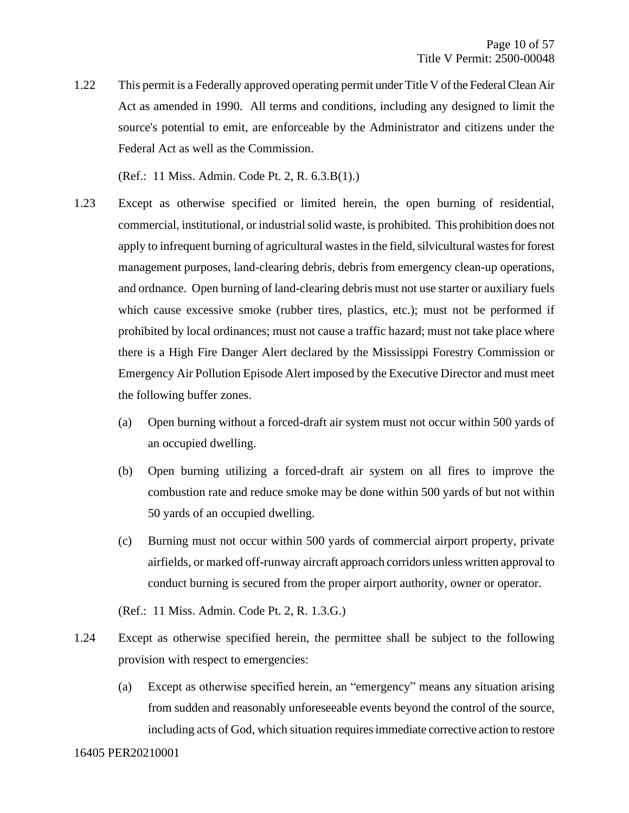1.22 This permit is a Federally approved operating permit under Title V of the Federal Clean Air Act as amended in 1990. All terms and conditions, including any designed to limit the source's potential to emit, are enforceable by the Administrator and citizens under the Federal Act as well as the Commission.

(Ref.: 11 Miss. Admin. Code Pt. 2, R. 6.3.B(1).)

- 1.23 Except as otherwise specified or limited herein, the open burning of residential, commercial, institutional, or industrial solid waste, is prohibited. This prohibition does not apply to infrequent burning of agricultural wastes in the field, silvicultural wastes for forest management purposes, land-clearing debris, debris from emergency clean-up operations, and ordnance. Open burning of land-clearing debris must not use starter or auxiliary fuels which cause excessive smoke (rubber tires, plastics, etc.); must not be performed if prohibited by local ordinances; must not cause a traffic hazard; must not take place where there is a High Fire Danger Alert declared by the Mississippi Forestry Commission or Emergency Air Pollution Episode Alert imposed by the Executive Director and must meet the following buffer zones.
	- (a) Open burning without a forced-draft air system must not occur within 500 yards of an occupied dwelling.
	- (b) Open burning utilizing a forced-draft air system on all fires to improve the combustion rate and reduce smoke may be done within 500 yards of but not within 50 yards of an occupied dwelling.
	- (c) Burning must not occur within 500 yards of commercial airport property, private airfields, or marked off-runway aircraft approach corridors unless written approval to conduct burning is secured from the proper airport authority, owner or operator.

(Ref.: 11 Miss. Admin. Code Pt. 2, R. 1.3.G.)

- 1.24 Except as otherwise specified herein, the permittee shall be subject to the following provision with respect to emergencies:
	- (a) Except as otherwise specified herein, an "emergency" means any situation arising from sudden and reasonably unforeseeable events beyond the control of the source, including acts of God, which situation requires immediate corrective action to restore

#### 16405 PER20210001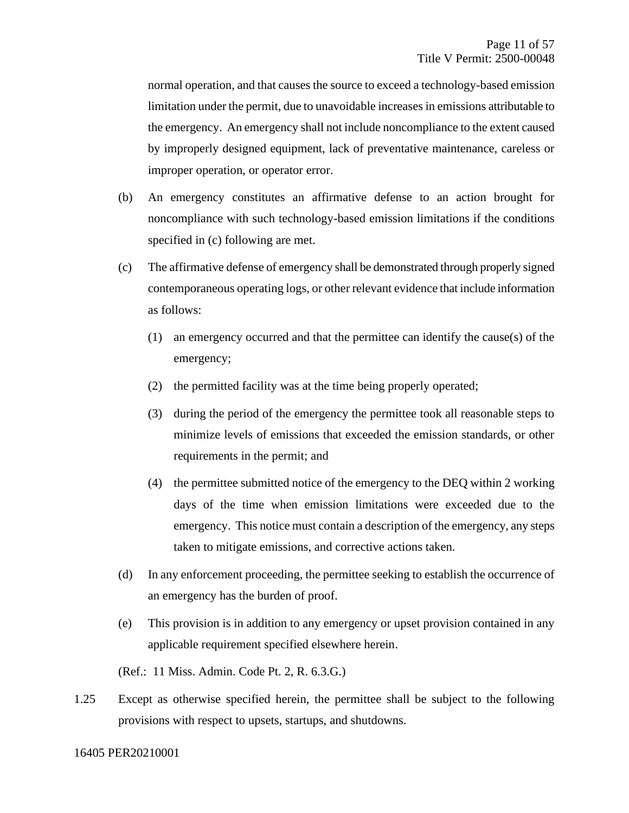normal operation, and that causes the source to exceed a technology-based emission limitation under the permit, due to unavoidable increases in emissions attributable to the emergency. An emergency shall not include noncompliance to the extent caused by improperly designed equipment, lack of preventative maintenance, careless or improper operation, or operator error.

- (b) An emergency constitutes an affirmative defense to an action brought for noncompliance with such technology-based emission limitations if the conditions specified in (c) following are met.
- (c) The affirmative defense of emergency shall be demonstrated through properly signed contemporaneous operating logs, or other relevant evidence that include information as follows:
	- (1) an emergency occurred and that the permittee can identify the cause(s) of the emergency;
	- (2) the permitted facility was at the time being properly operated;
	- (3) during the period of the emergency the permittee took all reasonable steps to minimize levels of emissions that exceeded the emission standards, or other requirements in the permit; and
	- (4) the permittee submitted notice of the emergency to the DEQ within 2 working days of the time when emission limitations were exceeded due to the emergency. This notice must contain a description of the emergency, any steps taken to mitigate emissions, and corrective actions taken.
- (d) In any enforcement proceeding, the permittee seeking to establish the occurrence of an emergency has the burden of proof.
- (e) This provision is in addition to any emergency or upset provision contained in any applicable requirement specified elsewhere herein.

(Ref.: 11 Miss. Admin. Code Pt. 2, R. 6.3.G.)

1.25 Except as otherwise specified herein, the permittee shall be subject to the following provisions with respect to upsets, startups, and shutdowns.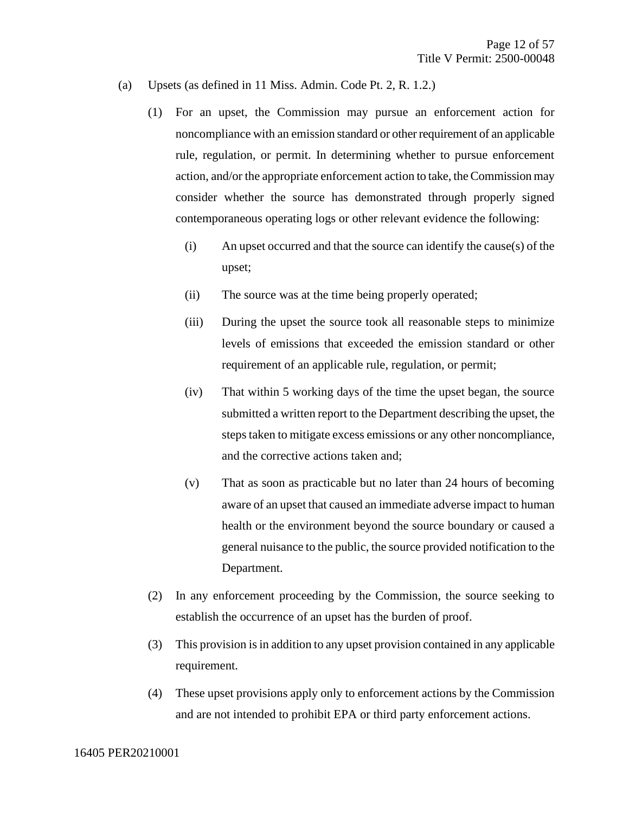- (a) Upsets (as defined in 11 Miss. Admin. Code Pt. 2, R. 1.2.)
	- (1) For an upset, the Commission may pursue an enforcement action for noncompliance with an emission standard or other requirement of an applicable rule, regulation, or permit. In determining whether to pursue enforcement action, and/or the appropriate enforcement action to take, the Commission may consider whether the source has demonstrated through properly signed contemporaneous operating logs or other relevant evidence the following:
		- (i) An upset occurred and that the source can identify the cause(s) of the upset;
		- (ii) The source was at the time being properly operated;
		- (iii) During the upset the source took all reasonable steps to minimize levels of emissions that exceeded the emission standard or other requirement of an applicable rule, regulation, or permit;
		- (iv) That within 5 working days of the time the upset began, the source submitted a written report to the Department describing the upset, the steps taken to mitigate excess emissions or any other noncompliance, and the corrective actions taken and;
		- (v) That as soon as practicable but no later than 24 hours of becoming aware of an upset that caused an immediate adverse impact to human health or the environment beyond the source boundary or caused a general nuisance to the public, the source provided notification to the Department.
	- (2) In any enforcement proceeding by the Commission, the source seeking to establish the occurrence of an upset has the burden of proof.
	- (3) This provision is in addition to any upset provision contained in any applicable requirement.
	- (4) These upset provisions apply only to enforcement actions by the Commission and are not intended to prohibit EPA or third party enforcement actions.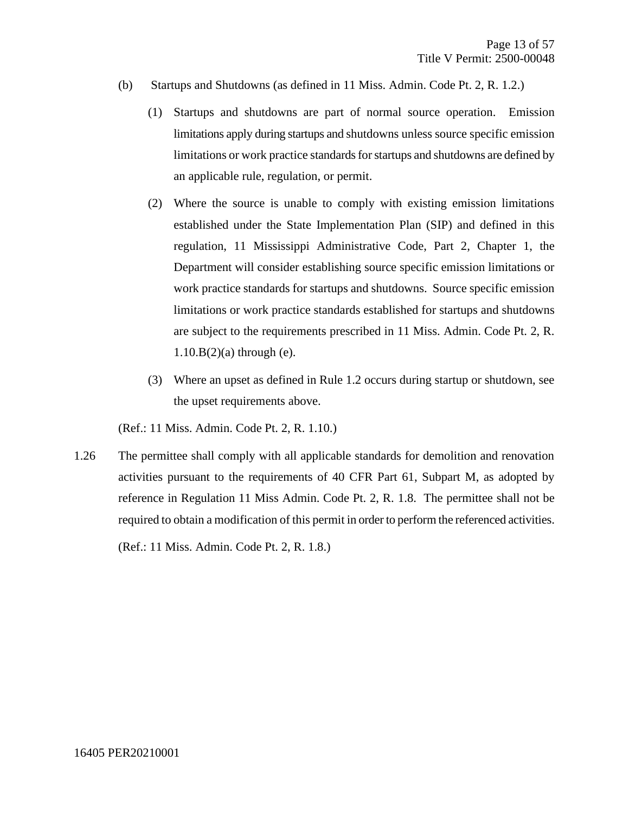- (b) Startups and Shutdowns (as defined in 11 Miss. Admin. Code Pt. 2, R. 1.2.)
	- (1) Startups and shutdowns are part of normal source operation. Emission limitations apply during startups and shutdowns unless source specific emission limitations or work practice standards for startups and shutdowns are defined by an applicable rule, regulation, or permit.
	- (2) Where the source is unable to comply with existing emission limitations established under the State Implementation Plan (SIP) and defined in this regulation, 11 Mississippi Administrative Code, Part 2, Chapter 1, the Department will consider establishing source specific emission limitations or work practice standards for startups and shutdowns. Source specific emission limitations or work practice standards established for startups and shutdowns are subject to the requirements prescribed in 11 Miss. Admin. Code Pt. 2, R.  $1.10.B(2)(a)$  through (e).
	- (3) Where an upset as defined in Rule 1.2 occurs during startup or shutdown, see the upset requirements above.

(Ref.: 11 Miss. Admin. Code Pt. 2, R. 1.10.)

1.26 The permittee shall comply with all applicable standards for demolition and renovation activities pursuant to the requirements of 40 CFR Part 61, Subpart M, as adopted by reference in Regulation 11 Miss Admin. Code Pt. 2, R. 1.8. The permittee shall not be required to obtain a modification of this permit in order to perform the referenced activities.

(Ref.: 11 Miss. Admin. Code Pt. 2, R. 1.8.)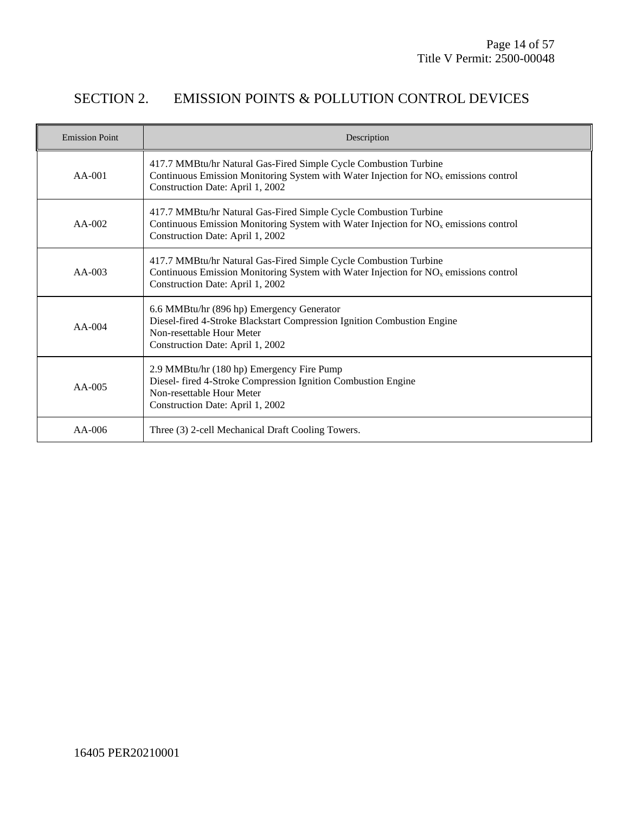## SECTION 2. EMISSION POINTS & POLLUTION CONTROL DEVICES

| <b>Emission Point</b> | Description                                                                                                                                                                                              |
|-----------------------|----------------------------------------------------------------------------------------------------------------------------------------------------------------------------------------------------------|
| $AA-001$              | 417.7 MMBtu/hr Natural Gas-Fired Simple Cycle Combustion Turbine<br>Continuous Emission Monitoring System with Water Injection for NO <sub>x</sub> emissions control<br>Construction Date: April 1, 2002 |
| $AA-002$              | 417.7 MMBtu/hr Natural Gas-Fired Simple Cycle Combustion Turbine<br>Continuous Emission Monitoring System with Water Injection for $NOx$ emissions control<br>Construction Date: April 1, 2002           |
| $AA-003$              | 417.7 MMBtu/hr Natural Gas-Fired Simple Cycle Combustion Turbine<br>Continuous Emission Monitoring System with Water Injection for $NOx$ emissions control<br>Construction Date: April 1, 2002           |
| $AA-004$              | 6.6 MMBtu/hr (896 hp) Emergency Generator<br>Diesel-fired 4-Stroke Blackstart Compression Ignition Combustion Engine<br>Non-resettable Hour Meter<br>Construction Date: April 1, 2002                    |
| $AA-005$              | 2.9 MMBtu/hr (180 hp) Emergency Fire Pump<br>Diesel- fired 4-Stroke Compression Ignition Combustion Engine<br>Non-resettable Hour Meter<br>Construction Date: April 1, 2002                              |
| $AA-006$              | Three (3) 2-cell Mechanical Draft Cooling Towers.                                                                                                                                                        |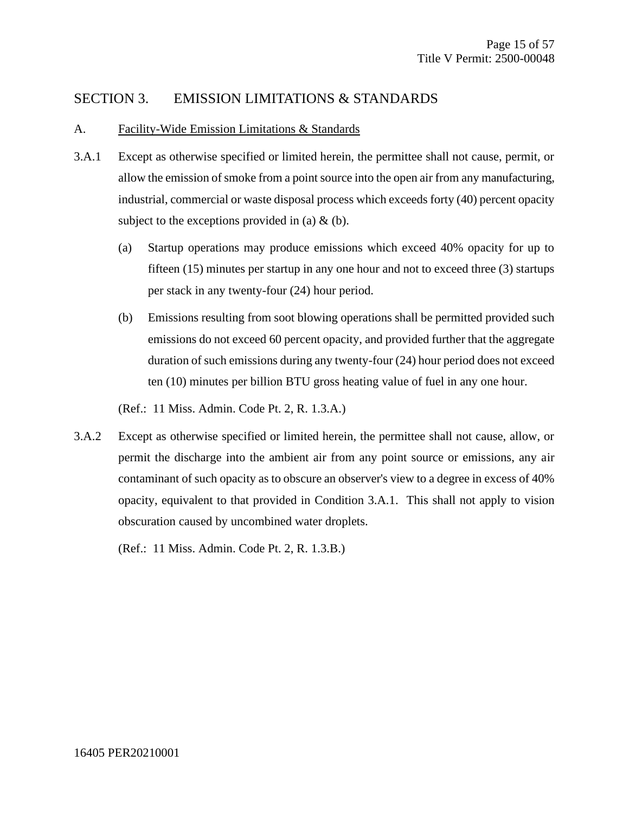#### SECTION 3. EMISSION LIMITATIONS & STANDARDS

#### A. Facility-Wide Emission Limitations & Standards

- 3.A.1 Except as otherwise specified or limited herein, the permittee shall not cause, permit, or allow the emission of smoke from a point source into the open air from any manufacturing, industrial, commercial or waste disposal process which exceeds forty (40) percent opacity subject to the exceptions provided in (a)  $\&$  (b).
	- (a) Startup operations may produce emissions which exceed 40% opacity for up to fifteen (15) minutes per startup in any one hour and not to exceed three (3) startups per stack in any twenty-four (24) hour period.
	- (b) Emissions resulting from soot blowing operations shall be permitted provided such emissions do not exceed 60 percent opacity, and provided further that the aggregate duration of such emissions during any twenty-four (24) hour period does not exceed ten (10) minutes per billion BTU gross heating value of fuel in any one hour.

(Ref.: 11 Miss. Admin. Code Pt. 2, R. 1.3.A.)

3.A.2 Except as otherwise specified or limited herein, the permittee shall not cause, allow, or permit the discharge into the ambient air from any point source or emissions, any air contaminant of such opacity as to obscure an observer's view to a degree in excess of 40% opacity, equivalent to that provided in Condition 3.A.1. This shall not apply to vision obscuration caused by uncombined water droplets.

(Ref.: 11 Miss. Admin. Code Pt. 2, R. 1.3.B.)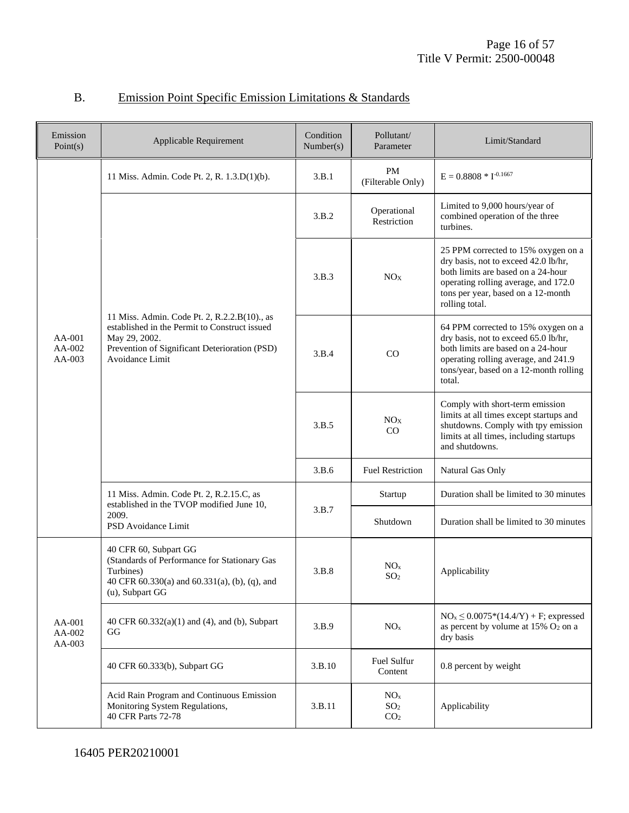| Emission<br>Point(s)       | Applicable Requirement                                                                                                                                                             | Condition<br>Number(s) | Pollutant/<br>Parameter                               | Limit/Standard                                                                                                                                                                                                    |
|----------------------------|------------------------------------------------------------------------------------------------------------------------------------------------------------------------------------|------------------------|-------------------------------------------------------|-------------------------------------------------------------------------------------------------------------------------------------------------------------------------------------------------------------------|
|                            | 11 Miss. Admin. Code Pt. 2, R. 1.3.D(1)(b).                                                                                                                                        | 3.B.1                  | <b>PM</b><br>(Filterable Only)                        | $E = 0.8808 * I^{-0.1667}$                                                                                                                                                                                        |
| AA-001<br>AA-002<br>AA-003 |                                                                                                                                                                                    | 3.B.2                  | Operational<br>Restriction                            | Limited to 9,000 hours/year of<br>combined operation of the three<br>turbines.                                                                                                                                    |
|                            |                                                                                                                                                                                    | 3.B.3                  | NO <sub>X</sub>                                       | 25 PPM corrected to 15% oxygen on a<br>dry basis, not to exceed 42.0 lb/hr,<br>both limits are based on a 24-hour<br>operating rolling average, and 172.0<br>tons per year, based on a 12-month<br>rolling total. |
|                            | 11 Miss. Admin. Code Pt. 2, R.2.2.B(10)., as<br>established in the Permit to Construct issued<br>May 29, 2002.<br>Prevention of Significant Deterioration (PSD)<br>Avoidance Limit | 3.B.4                  | CO                                                    | 64 PPM corrected to 15% oxygen on a<br>dry basis, not to exceed 65.0 lb/hr,<br>both limits are based on a 24-hour<br>operating rolling average, and 241.9<br>tons/year, based on a 12-month rolling<br>total.     |
|                            |                                                                                                                                                                                    | 3.B.5                  | NO <sub>X</sub><br>CO                                 | Comply with short-term emission<br>limits at all times except startups and<br>shutdowns. Comply with tpy emission<br>limits at all times, including startups<br>and shutdowns.                                    |
|                            |                                                                                                                                                                                    | 3.B.6                  | <b>Fuel Restriction</b>                               | Natural Gas Only                                                                                                                                                                                                  |
|                            | 11 Miss. Admin. Code Pt. 2, R.2.15.C, as<br>established in the TVOP modified June 10,                                                                                              | 3.B.7                  | Startup                                               | Duration shall be limited to 30 minutes                                                                                                                                                                           |
|                            | 2009.<br>PSD Avoidance Limit                                                                                                                                                       |                        | Shutdown                                              | Duration shall be limited to 30 minutes                                                                                                                                                                           |
|                            | 40 CFR 60, Subpart GG<br>(Standards of Performance for Stationary Gas<br>Turbines)<br>40 CFR 60.330(a) and 60.331(a), (b), (q), and<br>(u), Subpart GG                             | 3.B.8                  | NO <sub>x</sub><br>SO <sub>2</sub>                    | Applicability                                                                                                                                                                                                     |
| AA-001<br>AA-002<br>AA-003 | 40 CFR $60.332(a)(1)$ and $(4)$ , and $(b)$ , Subpart<br>GG                                                                                                                        | 3.B.9                  | NO <sub>x</sub>                                       | $NO_x \leq 0.0075*(14.4/Y) + F$ ; expressed<br>as percent by volume at $15\%$ O <sub>2</sub> on a<br>dry basis                                                                                                    |
|                            | 40 CFR 60.333(b), Subpart GG                                                                                                                                                       | 3.B.10                 | Fuel Sulfur<br>Content                                | 0.8 percent by weight                                                                                                                                                                                             |
|                            | Acid Rain Program and Continuous Emission<br>Monitoring System Regulations,<br>40 CFR Parts 72-78                                                                                  | 3.B.11                 | NO <sub>x</sub><br>SO <sub>2</sub><br>CO <sub>2</sub> | Applicability                                                                                                                                                                                                     |

## B. Emission Point Specific Emission Limitations & Standards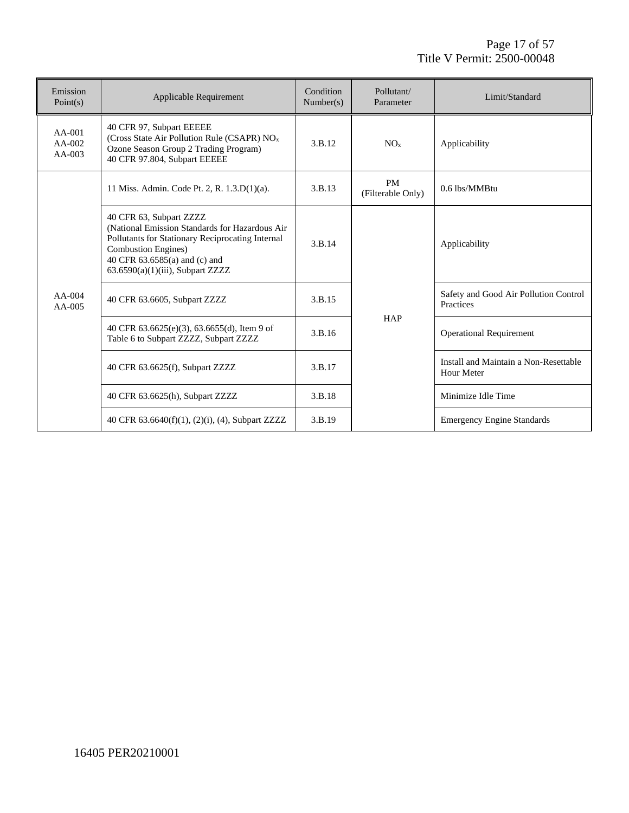| Emission<br>Point(s)           | Applicable Requirement                                                                                                                                                                                                               | Condition<br>Number(s) | Pollutant/<br>Parameter        | Limit/Standard                                      |
|--------------------------------|--------------------------------------------------------------------------------------------------------------------------------------------------------------------------------------------------------------------------------------|------------------------|--------------------------------|-----------------------------------------------------|
| AA-001<br>$AA-002$<br>$AA-003$ | 40 CFR 97, Subpart EEEEE<br>(Cross State Air Pollution Rule (CSAPR) NO <sub>x</sub><br>Ozone Season Group 2 Trading Program)<br>40 CFR 97.804, Subpart EEEEE                                                                         | 3.B.12                 | NO <sub>x</sub>                | Applicability                                       |
|                                | 11 Miss. Admin. Code Pt. 2, R. 1.3.D(1)(a).                                                                                                                                                                                          | 3.B.13                 | <b>PM</b><br>(Filterable Only) | 0.6 lbs/MMBtu                                       |
|                                | 40 CFR 63, Subpart ZZZZ<br>(National Emission Standards for Hazardous Air<br>Pollutants for Stationary Reciprocating Internal<br><b>Combustion Engines</b> )<br>40 CFR 63.6585(a) and (c) and<br>$63.6590(a)(1)(iii)$ , Subpart ZZZZ | 3.B.14                 |                                | Applicability                                       |
| $AA-004$<br>$AA-005$           | 40 CFR 63.6605, Subpart ZZZZ                                                                                                                                                                                                         | 3.B.15                 |                                | Safety and Good Air Pollution Control<br>Practices  |
|                                | 40 CFR 63.6625(e)(3), 63.6655(d), Item 9 of<br>Table 6 to Subpart ZZZZ, Subpart ZZZZ                                                                                                                                                 | 3.B.16                 | <b>HAP</b>                     | <b>Operational Requirement</b>                      |
|                                | 40 CFR 63.6625(f), Subpart ZZZZ                                                                                                                                                                                                      | 3.B.17                 |                                | Install and Maintain a Non-Resettable<br>Hour Meter |
|                                | 40 CFR 63.6625(h), Subpart ZZZZ                                                                                                                                                                                                      | 3.B.18                 |                                | Minimize Idle Time                                  |
|                                | 40 CFR 63.6640(f)(1), (2)(i), (4), Subpart ZZZZ                                                                                                                                                                                      | 3.B.19                 |                                | <b>Emergency Engine Standards</b>                   |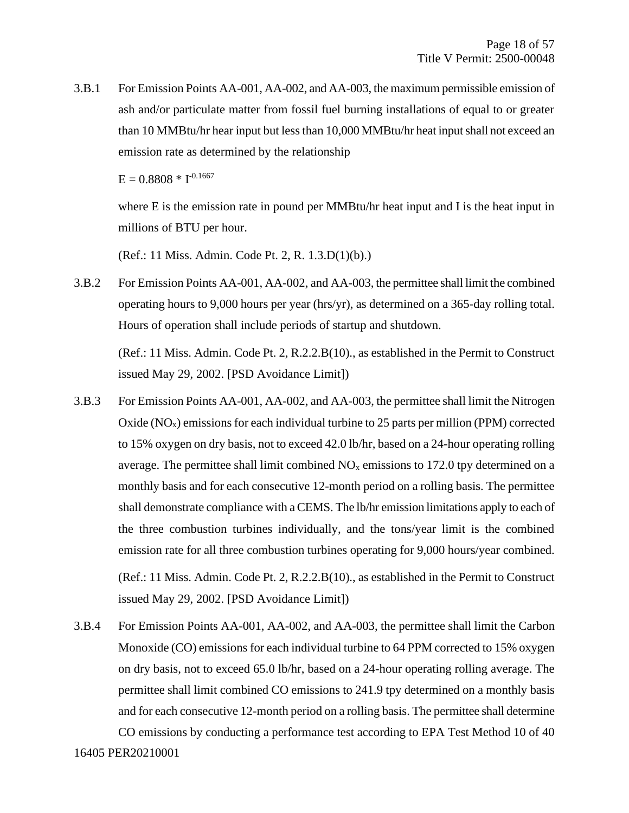3.B.1 For Emission Points AA-001, AA-002, and AA-003, the maximum permissible emission of ash and/or particulate matter from fossil fuel burning installations of equal to or greater than 10 MMBtu/hr hear input but less than 10,000 MMBtu/hr heat input shall not exceed an emission rate as determined by the relationship

 $E = 0.8808 * I^{-0.1667}$ 

where E is the emission rate in pound per MMBtu/hr heat input and I is the heat input in millions of BTU per hour.

(Ref.: 11 Miss. Admin. Code Pt. 2, R. 1.3.D(1)(b).)

3.B.2 For Emission Points AA-001, AA-002, and AA-003, the permittee shall limit the combined operating hours to 9,000 hours per year (hrs/yr), as determined on a 365-day rolling total. Hours of operation shall include periods of startup and shutdown.

(Ref.: 11 Miss. Admin. Code Pt. 2, R.2.2.B(10)., as established in the Permit to Construct issued May 29, 2002. [PSD Avoidance Limit])

- 3.B.3 For Emission Points AA-001, AA-002, and AA-003, the permittee shall limit the Nitrogen Oxide  $(NO<sub>x</sub>)$  emissions for each individual turbine to 25 parts per million (PPM) corrected to 15% oxygen on dry basis, not to exceed 42.0 lb/hr, based on a 24-hour operating rolling average. The permittee shall limit combined  $NO<sub>x</sub>$  emissions to 172.0 tpy determined on a monthly basis and for each consecutive 12-month period on a rolling basis. The permittee shall demonstrate compliance with a CEMS. The lb/hr emission limitations apply to each of the three combustion turbines individually, and the tons/year limit is the combined emission rate for all three combustion turbines operating for 9,000 hours/year combined. (Ref.: 11 Miss. Admin. Code Pt. 2, R.2.2.B(10)., as established in the Permit to Construct issued May 29, 2002. [PSD Avoidance Limit])
- 16405 PER20210001 3.B.4 For Emission Points AA-001, AA-002, and AA-003, the permittee shall limit the Carbon Monoxide (CO) emissions for each individual turbine to 64 PPM corrected to 15% oxygen on dry basis, not to exceed 65.0 lb/hr, based on a 24-hour operating rolling average. The permittee shall limit combined CO emissions to 241.9 tpy determined on a monthly basis and for each consecutive 12-month period on a rolling basis. The permittee shall determine CO emissions by conducting a performance test according to EPA Test Method 10 of 40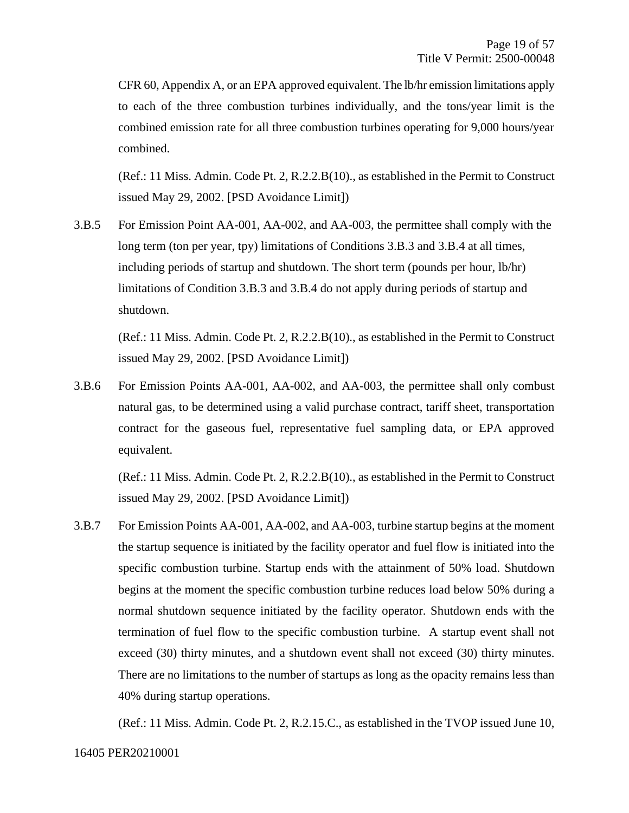CFR 60, Appendix A, or an EPA approved equivalent. The lb/hr emission limitations apply to each of the three combustion turbines individually, and the tons/year limit is the combined emission rate for all three combustion turbines operating for 9,000 hours/year combined.

(Ref.: 11 Miss. Admin. Code Pt. 2, R.2.2.B(10)., as established in the Permit to Construct issued May 29, 2002. [PSD Avoidance Limit])

3.B.5 For Emission Point AA-001, AA-002, and AA-003, the permittee shall comply with the long term (ton per year, tpy) limitations of Conditions 3.B.3 and 3.B.4 at all times, including periods of startup and shutdown. The short term (pounds per hour, lb/hr) limitations of Condition 3.B.3 and 3.B.4 do not apply during periods of startup and shutdown.

(Ref.: 11 Miss. Admin. Code Pt. 2, R.2.2.B(10)., as established in the Permit to Construct issued May 29, 2002. [PSD Avoidance Limit])

3.B.6 For Emission Points AA-001, AA-002, and AA-003, the permittee shall only combust natural gas, to be determined using a valid purchase contract, tariff sheet, transportation contract for the gaseous fuel, representative fuel sampling data, or EPA approved equivalent.

(Ref.: 11 Miss. Admin. Code Pt. 2, R.2.2.B(10)., as established in the Permit to Construct issued May 29, 2002. [PSD Avoidance Limit])

3.B.7 For Emission Points AA-001, AA-002, and AA-003, turbine startup begins at the moment the startup sequence is initiated by the facility operator and fuel flow is initiated into the specific combustion turbine. Startup ends with the attainment of 50% load. Shutdown begins at the moment the specific combustion turbine reduces load below 50% during a normal shutdown sequence initiated by the facility operator. Shutdown ends with the termination of fuel flow to the specific combustion turbine. A startup event shall not exceed (30) thirty minutes, and a shutdown event shall not exceed (30) thirty minutes. There are no limitations to the number of startups as long as the opacity remains less than 40% during startup operations.

(Ref.: 11 Miss. Admin. Code Pt. 2, R.2.15.C., as established in the TVOP issued June 10,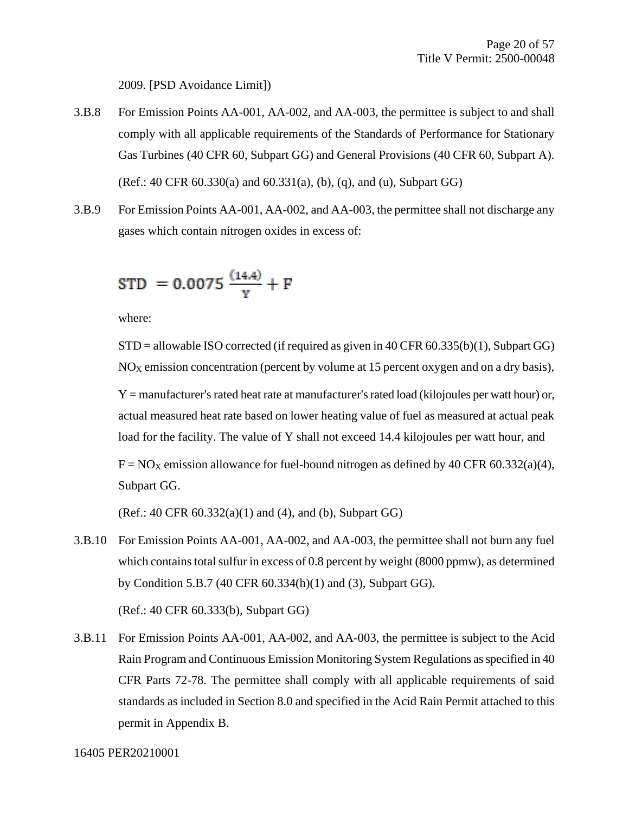2009. [PSD Avoidance Limit])

- 3.B.8 For Emission Points AA-001, AA-002, and AA-003, the permittee is subject to and shall comply with all applicable requirements of the Standards of Performance for Stationary Gas Turbines (40 CFR 60, Subpart GG) and General Provisions (40 CFR 60, Subpart A). (Ref.: 40 CFR 60.330(a) and 60.331(a), (b), (q), and (u), Subpart GG)
- 3.B.9 For Emission Points AA-001, AA-002, and AA-003, the permittee shall not discharge any gases which contain nitrogen oxides in excess of:

$$
STD = 0.0075 \frac{(14.4)}{Y} + F
$$

where:

 $STD =$  allowable ISO corrected (if required as given in 40 CFR 60.335(b)(1), Subpart GG)  $NO<sub>X</sub>$  emission concentration (percent by volume at 15 percent oxygen and on a dry basis), Y = manufacturer's rated heat rate at manufacturer's rated load (kilojoules per watt hour) or, actual measured heat rate based on lower heating value of fuel as measured at actual peak load for the facility. The value of Y shall not exceed 14.4 kilojoules per watt hour, and  $F = NO<sub>X</sub>$  emission allowance for fuel-bound nitrogen as defined by 40 CFR 60.332(a)(4), Subpart GG.

(Ref.: 40 CFR 60.332(a)(1) and (4), and (b), Subpart GG)

3.B.10 For Emission Points AA-001, AA-002, and AA-003, the permittee shall not burn any fuel which contains total sulfur in excess of 0.8 percent by weight (8000 ppmw), as determined by Condition 5.B.7 (40 CFR 60.334(h)(1) and (3), Subpart GG).

(Ref.: 40 CFR 60.333(b), Subpart GG)

3.B.11 For Emission Points AA-001, AA-002, and AA-003, the permittee is subject to the Acid Rain Program and Continuous Emission Monitoring System Regulations as specified in 40 CFR Parts 72-78. The permittee shall comply with all applicable requirements of said standards as included in Section 8.0 and specified in the Acid Rain Permit attached to this permit in Appendix B.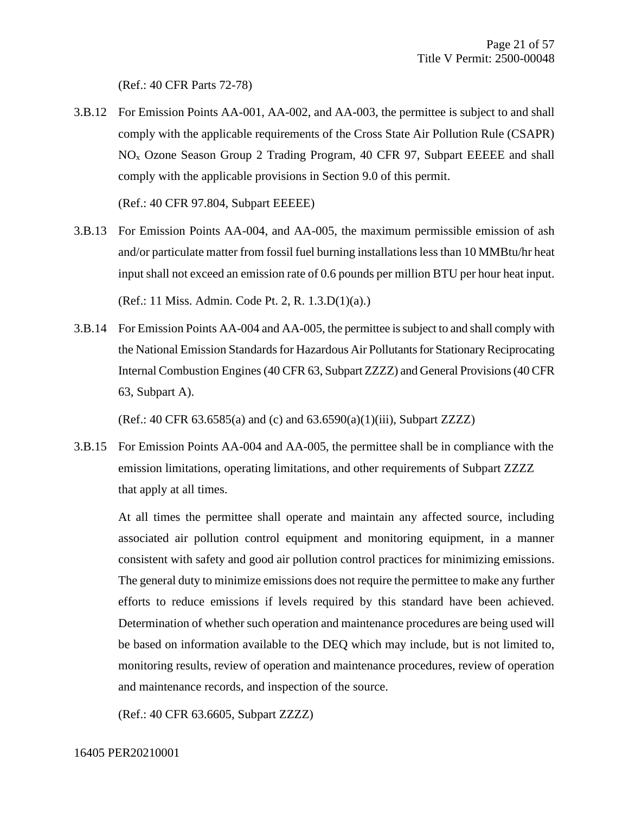(Ref.: 40 CFR Parts 72-78)

3.B.12 For Emission Points AA-001, AA-002, and AA-003, the permittee is subject to and shall comply with the applicable requirements of the Cross State Air Pollution Rule (CSAPR) NO<sup>x</sup> Ozone Season Group 2 Trading Program, 40 CFR 97, Subpart EEEEE and shall comply with the applicable provisions in Section 9.0 of this permit.

(Ref.: 40 CFR 97.804, Subpart EEEEE)

- 3.B.13 For Emission Points AA-004, and AA-005, the maximum permissible emission of ash and/or particulate matter from fossil fuel burning installations less than 10 MMBtu/hr heat input shall not exceed an emission rate of 0.6 pounds per million BTU per hour heat input. (Ref.: 11 Miss. Admin. Code Pt. 2, R. 1.3.D(1)(a).)
- 3.B.14 For Emission Points AA-004 and AA-005, the permittee is subject to and shall comply with the National Emission Standards for Hazardous Air Pollutants for Stationary Reciprocating Internal Combustion Engines (40 CFR 63, Subpart ZZZZ) and General Provisions (40 CFR 63, Subpart A).

(Ref.: 40 CFR 63.6585(a) and (c) and 63.6590(a)(1)(iii), Subpart ZZZZ)

3.B.15 For Emission Points AA-004 and AA-005, the permittee shall be in compliance with the emission limitations, operating limitations, and other requirements of Subpart ZZZZ that apply at all times.

At all times the permittee shall operate and maintain any affected source, including associated air pollution control equipment and monitoring equipment, in a manner consistent with safety and good air pollution control practices for minimizing emissions. The general duty to minimize emissions does not require the permittee to make any further efforts to reduce emissions if levels required by this standard have been achieved. Determination of whether such operation and maintenance procedures are being used will be based on information available to the DEQ which may include, but is not limited to, monitoring results, review of operation and maintenance procedures, review of operation and maintenance records, and inspection of the source.

(Ref.: 40 CFR 63.6605, Subpart ZZZZ)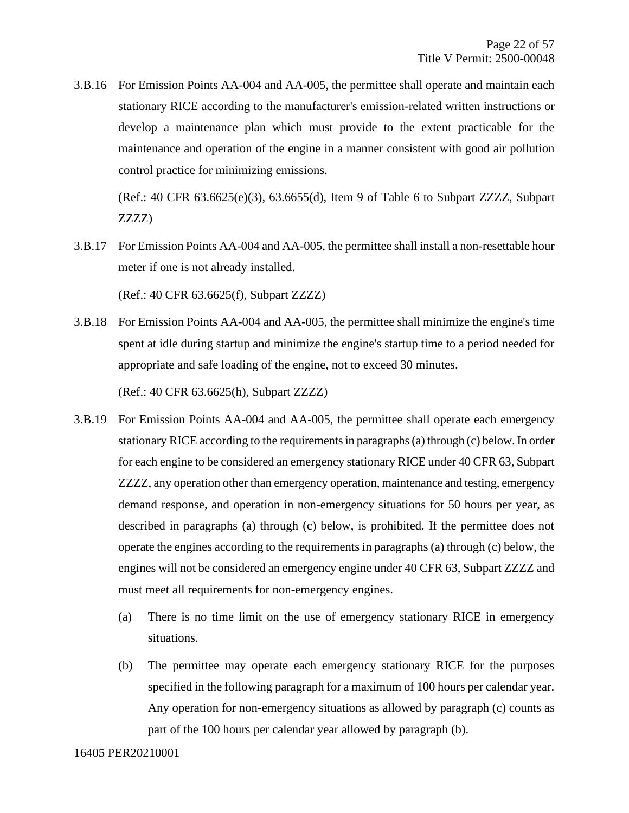3.B.16 For Emission Points AA-004 and AA-005, the permittee shall operate and maintain each stationary RICE according to the manufacturer's emission-related written instructions or develop a maintenance plan which must provide to the extent practicable for the maintenance and operation of the engine in a manner consistent with good air pollution control practice for minimizing emissions.

(Ref.: 40 CFR 63.6625(e)(3), 63.6655(d), Item 9 of Table 6 to Subpart ZZZZ, Subpart ZZZZ)

3.B.17 For Emission Points AA-004 and AA-005, the permittee shall install a non-resettable hour meter if one is not already installed.

(Ref.: 40 CFR 63.6625(f), Subpart ZZZZ)

3.B.18 For Emission Points AA-004 and AA-005, the permittee shall minimize the engine's time spent at idle during startup and minimize the engine's startup time to a period needed for appropriate and safe loading of the engine, not to exceed 30 minutes.

(Ref.: 40 CFR 63.6625(h), Subpart ZZZZ)

- 3.B.19 For Emission Points AA-004 and AA-005, the permittee shall operate each emergency stationary RICE according to the requirements in paragraphs (a) through (c) below. In order for each engine to be considered an emergency stationary RICE under 40 CFR 63, Subpart ZZZZ, any operation other than emergency operation, maintenance and testing, emergency demand response, and operation in non-emergency situations for 50 hours per year, as described in paragraphs (a) through (c) below, is prohibited. If the permittee does not operate the engines according to the requirements in paragraphs (a) through (c) below, the engines will not be considered an emergency engine under 40 CFR 63, Subpart ZZZZ and must meet all requirements for non-emergency engines.
	- (a) There is no time limit on the use of emergency stationary RICE in emergency situations.
	- (b) The permittee may operate each emergency stationary RICE for the purposes specified in the following paragraph for a maximum of 100 hours per calendar year. Any operation for non-emergency situations as allowed by paragraph (c) counts as part of the 100 hours per calendar year allowed by paragraph (b).

#### 16405 PER20210001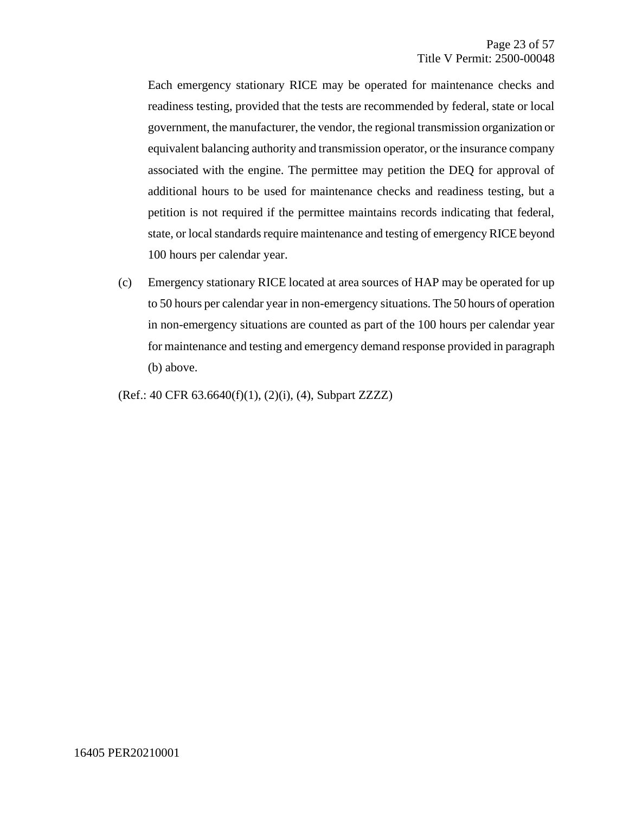Each emergency stationary RICE may be operated for maintenance checks and readiness testing, provided that the tests are recommended by federal, state or local government, the manufacturer, the vendor, the regional transmission organization or equivalent balancing authority and transmission operator, or the insurance company associated with the engine. The permittee may petition the DEQ for approval of additional hours to be used for maintenance checks and readiness testing, but a petition is not required if the permittee maintains records indicating that federal, state, or local standards require maintenance and testing of emergency RICE beyond 100 hours per calendar year.

(c) Emergency stationary RICE located at area sources of HAP may be operated for up to 50 hours per calendar year in non-emergency situations. The 50 hours of operation in non-emergency situations are counted as part of the 100 hours per calendar year for maintenance and testing and emergency demand response provided in paragraph (b) above.

(Ref.: 40 CFR 63.6640(f)(1), (2)(i), (4), Subpart ZZZZ)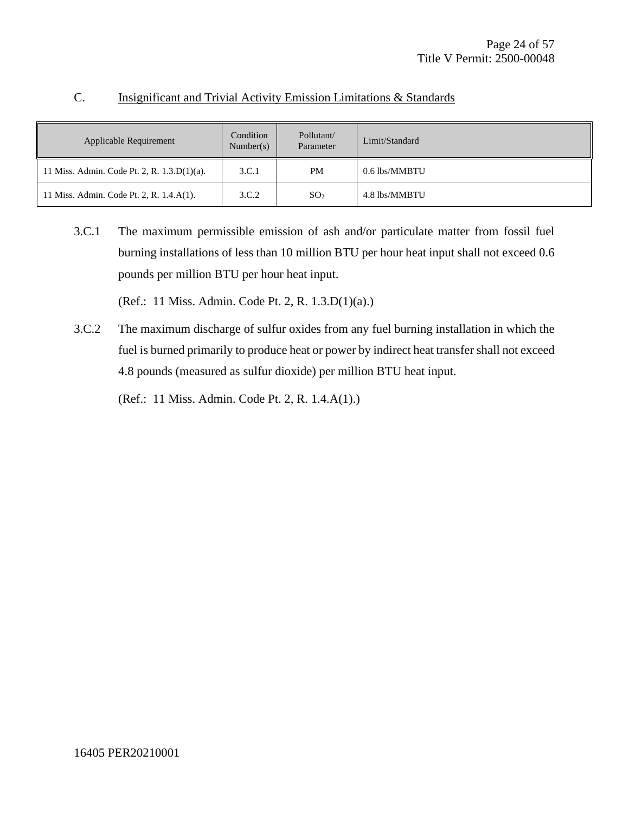| Applicable Requirement                      | Condition<br>Number(s) | Pollutant/<br>Parameter | Limit/Standard |
|---------------------------------------------|------------------------|-------------------------|----------------|
| 11 Miss. Admin. Code Pt. 2, R. 1.3.D(1)(a). | 3.C.1                  | PM                      | 0.6 lbs/MMBTU  |
| 11 Miss. Admin. Code Pt. 2, R. 1.4.A(1).    | 3.C.2                  | SO <sub>2</sub>         | 4.8 lbs/MMBTU  |

#### C. Insignificant and Trivial Activity Emission Limitations & Standards

3.C.1 The maximum permissible emission of ash and/or particulate matter from fossil fuel burning installations of less than 10 million BTU per hour heat input shall not exceed 0.6 pounds per million BTU per hour heat input.

(Ref.: 11 Miss. Admin. Code Pt. 2, R. 1.3.D(1)(a).)

3.C.2 The maximum discharge of sulfur oxides from any fuel burning installation in which the fuel is burned primarily to produce heat or power by indirect heat transfer shall not exceed 4.8 pounds (measured as sulfur dioxide) per million BTU heat input.

(Ref.: 11 Miss. Admin. Code Pt. 2, R. 1.4.A(1).)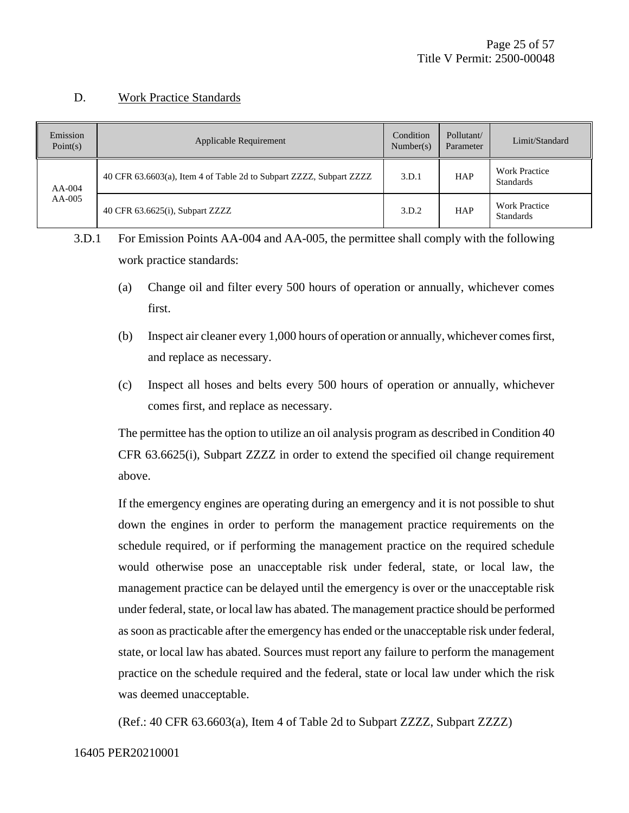#### D. Work Practice Standards

| Emission<br>Point $(s)$ | <b>Applicable Requirement</b>                                       | Condition<br>Number(s) | Pollutant/<br>Parameter | Limit/Standard                           |
|-------------------------|---------------------------------------------------------------------|------------------------|-------------------------|------------------------------------------|
| $AA-004$                | 40 CFR 63.6603(a), Item 4 of Table 2d to Subpart ZZZZ, Subpart ZZZZ |                        | <b>HAP</b>              | <b>Work Practice</b><br><b>Standards</b> |
| $AA-005$                | 40 CFR 63.6625(i), Subpart ZZZZ                                     | 3.D.2                  | <b>HAP</b>              | <b>Work Practice</b><br>Standards        |

3.D.1 For Emission Points AA-004 and AA-005, the permittee shall comply with the following work practice standards:

- (a) Change oil and filter every 500 hours of operation or annually, whichever comes first.
- (b) Inspect air cleaner every 1,000 hours of operation or annually, whichever comes first, and replace as necessary.
- (c) Inspect all hoses and belts every 500 hours of operation or annually, whichever comes first, and replace as necessary.

The permittee has the option to utilize an oil analysis program as described in Condition 40 CFR 63.6625(i), Subpart ZZZZ in order to extend the specified oil change requirement above.

If the emergency engines are operating during an emergency and it is not possible to shut down the engines in order to perform the management practice requirements on the schedule required, or if performing the management practice on the required schedule would otherwise pose an unacceptable risk under federal, state, or local law, the management practice can be delayed until the emergency is over or the unacceptable risk under federal, state, or local law has abated. The management practice should be performed as soon as practicable after the emergency has ended or the unacceptable risk under federal, state, or local law has abated. Sources must report any failure to perform the management practice on the schedule required and the federal, state or local law under which the risk was deemed unacceptable.

(Ref.: 40 CFR 63.6603(a), Item 4 of Table 2d to Subpart ZZZZ, Subpart ZZZZ)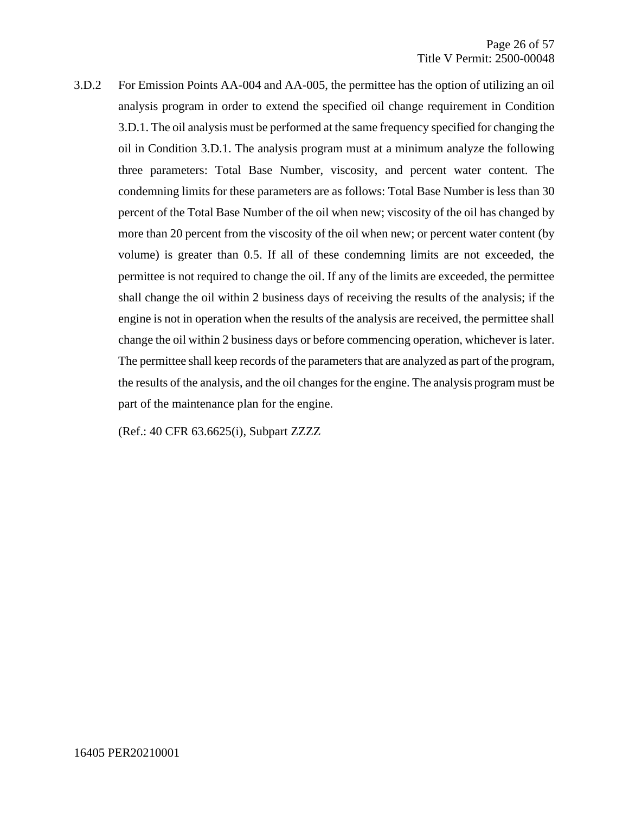3.D.2 For Emission Points AA-004 and AA-005, the permittee has the option of utilizing an oil analysis program in order to extend the specified oil change requirement in Condition 3.D.1. The oil analysis must be performed at the same frequency specified for changing the oil in Condition 3.D.1. The analysis program must at a minimum analyze the following three parameters: Total Base Number, viscosity, and percent water content. The condemning limits for these parameters are as follows: Total Base Number is less than 30 percent of the Total Base Number of the oil when new; viscosity of the oil has changed by more than 20 percent from the viscosity of the oil when new; or percent water content (by volume) is greater than 0.5. If all of these condemning limits are not exceeded, the permittee is not required to change the oil. If any of the limits are exceeded, the permittee shall change the oil within 2 business days of receiving the results of the analysis; if the engine is not in operation when the results of the analysis are received, the permittee shall change the oil within 2 business days or before commencing operation, whichever is later. The permittee shall keep records of the parameters that are analyzed as part of the program, the results of the analysis, and the oil changes for the engine. The analysis program must be part of the maintenance plan for the engine.

(Ref.: 40 CFR 63.6625(i), Subpart ZZZZ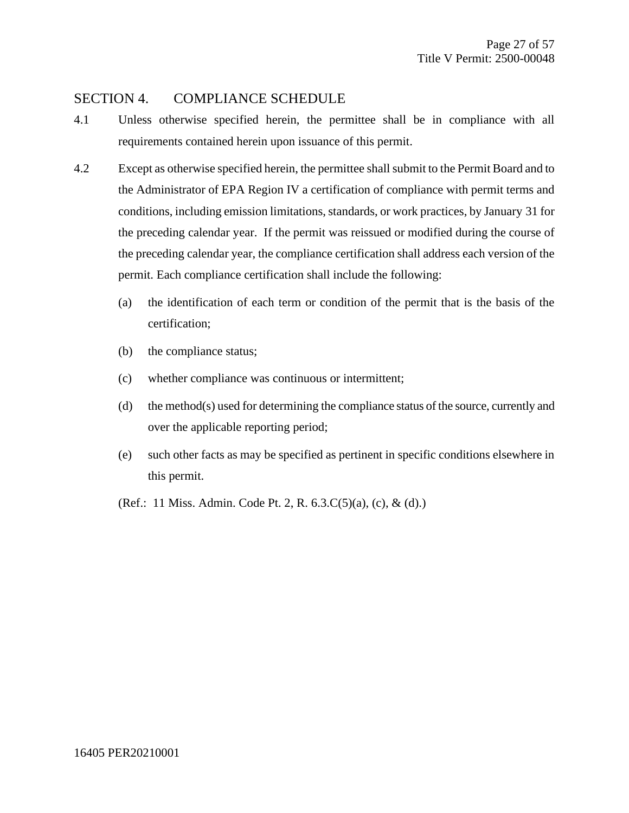#### SECTION 4. COMPLIANCE SCHEDULE

- 4.1 Unless otherwise specified herein, the permittee shall be in compliance with all requirements contained herein upon issuance of this permit.
- 4.2 Except as otherwise specified herein, the permittee shall submit to the Permit Board and to the Administrator of EPA Region IV a certification of compliance with permit terms and conditions, including emission limitations, standards, or work practices, by January 31 for the preceding calendar year. If the permit was reissued or modified during the course of the preceding calendar year, the compliance certification shall address each version of the permit. Each compliance certification shall include the following:
	- (a) the identification of each term or condition of the permit that is the basis of the certification;
	- (b) the compliance status;
	- (c) whether compliance was continuous or intermittent;
	- (d) the method(s) used for determining the compliance status of the source, currently and over the applicable reporting period;
	- (e) such other facts as may be specified as pertinent in specific conditions elsewhere in this permit.
	- (Ref.: 11 Miss. Admin. Code Pt. 2, R. 6.3.C(5)(a), (c), & (d).)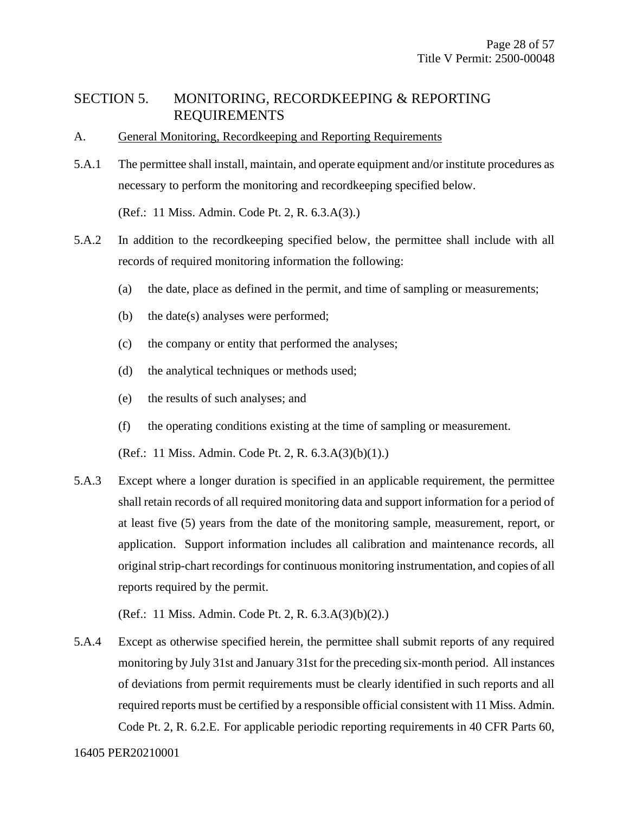#### SECTION 5. MONITORING, RECORDKEEPING & REPORTING REQUIREMENTS

- A. General Monitoring, Recordkeeping and Reporting Requirements
- 5.A.1 The permittee shall install, maintain, and operate equipment and/or institute procedures as necessary to perform the monitoring and recordkeeping specified below.

(Ref.: 11 Miss. Admin. Code Pt. 2, R. 6.3.A(3).)

- 5.A.2 In addition to the recordkeeping specified below, the permittee shall include with all records of required monitoring information the following:
	- (a) the date, place as defined in the permit, and time of sampling or measurements;
	- (b) the date(s) analyses were performed;
	- (c) the company or entity that performed the analyses;
	- (d) the analytical techniques or methods used;
	- (e) the results of such analyses; and
	- (f) the operating conditions existing at the time of sampling or measurement.

(Ref.: 11 Miss. Admin. Code Pt. 2, R. 6.3.A(3)(b)(1).)

5.A.3 Except where a longer duration is specified in an applicable requirement, the permittee shall retain records of all required monitoring data and support information for a period of at least five (5) years from the date of the monitoring sample, measurement, report, or application. Support information includes all calibration and maintenance records, all original strip-chart recordings for continuous monitoring instrumentation, and copies of all reports required by the permit.

(Ref.: 11 Miss. Admin. Code Pt. 2, R. 6.3.A(3)(b)(2).)

5.A.4 Except as otherwise specified herein, the permittee shall submit reports of any required monitoring by July 31st and January 31st for the preceding six-month period. All instances of deviations from permit requirements must be clearly identified in such reports and all required reports must be certified by a responsible official consistent with 11 Miss. Admin. Code Pt. 2, R. 6.2.E. For applicable periodic reporting requirements in 40 CFR Parts 60,

16405 PER20210001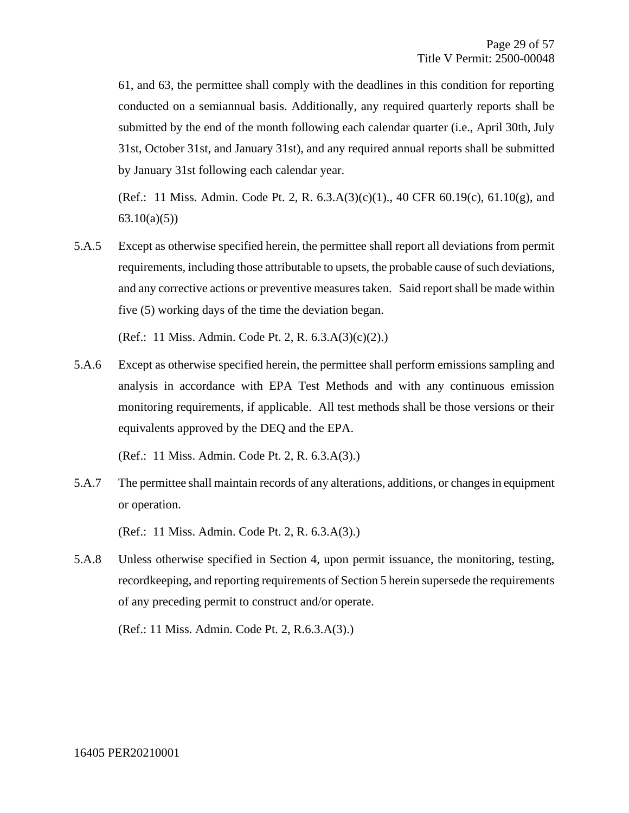61, and 63, the permittee shall comply with the deadlines in this condition for reporting conducted on a semiannual basis. Additionally, any required quarterly reports shall be submitted by the end of the month following each calendar quarter (i.e., April 30th, July 31st, October 31st, and January 31st), and any required annual reports shall be submitted by January 31st following each calendar year.

(Ref.: 11 Miss. Admin. Code Pt. 2, R. 6.3.A(3)(c)(1)., 40 CFR 60.19(c), 61.10(g), and  $63.10(a)(5)$ 

5.A.5 Except as otherwise specified herein, the permittee shall report all deviations from permit requirements, including those attributable to upsets, the probable cause of such deviations, and any corrective actions or preventive measures taken. Said report shall be made within five (5) working days of the time the deviation began.

(Ref.: 11 Miss. Admin. Code Pt. 2, R. 6.3.A(3)(c)(2).)

5.A.6 Except as otherwise specified herein, the permittee shall perform emissions sampling and analysis in accordance with EPA Test Methods and with any continuous emission monitoring requirements, if applicable. All test methods shall be those versions or their equivalents approved by the DEQ and the EPA.

(Ref.: 11 Miss. Admin. Code Pt. 2, R. 6.3.A(3).)

5.A.7 The permittee shall maintain records of any alterations, additions, or changes in equipment or operation.

(Ref.: 11 Miss. Admin. Code Pt. 2, R. 6.3.A(3).)

5.A.8 Unless otherwise specified in Section 4, upon permit issuance, the monitoring, testing, recordkeeping, and reporting requirements of Section 5 herein supersede the requirements of any preceding permit to construct and/or operate.

(Ref.: 11 Miss. Admin. Code Pt. 2, R.6.3.A(3).)

#### 16405 PER20210001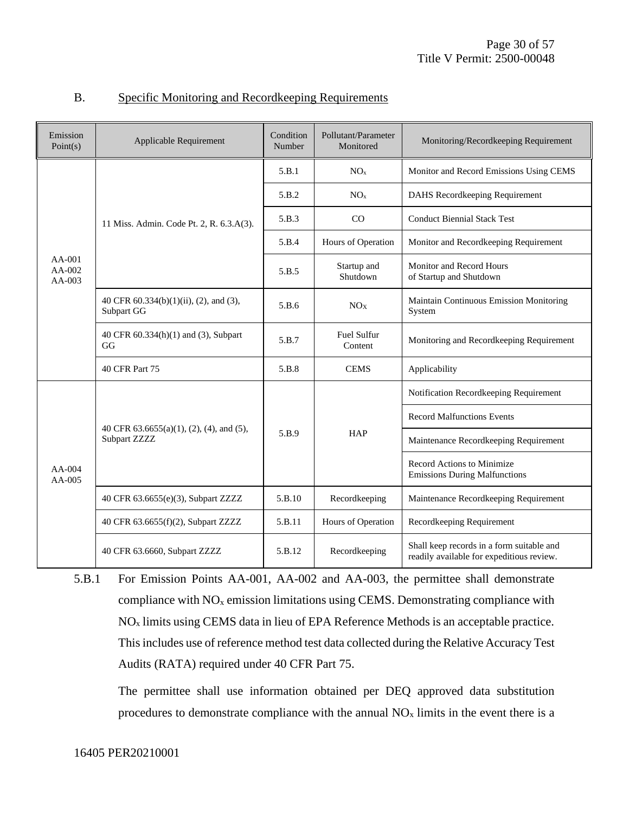| Emission<br>Point(s)             | Applicable Requirement                                   | Condition<br>Number | Pollutant/Parameter<br>Monitored | Monitoring/Recordkeeping Requirement                                                   |
|----------------------------------|----------------------------------------------------------|---------------------|----------------------------------|----------------------------------------------------------------------------------------|
|                                  |                                                          | 5.B.1               | NO <sub>x</sub>                  | Monitor and Record Emissions Using CEMS                                                |
|                                  |                                                          | 5.B.2               | NO <sub>x</sub>                  | DAHS Recordkeeping Requirement                                                         |
|                                  | 11 Miss. Admin. Code Pt. 2, R. 6.3.A(3).                 | 5.B.3               | CO                               | <b>Conduct Biennial Stack Test</b>                                                     |
|                                  |                                                          | 5.B.4               | Hours of Operation               | Monitor and Recordkeeping Requirement                                                  |
| $AA-001$<br>$AA-002$<br>$AA-003$ |                                                          | 5.B.5               | Startup and<br>Shutdown          | Monitor and Record Hours<br>of Startup and Shutdown                                    |
|                                  | 40 CFR 60.334(b)(1)(ii), (2), and (3),<br>Subpart GG     | 5.B.6               | NO <sub>X</sub>                  | Maintain Continuous Emission Monitoring<br>System                                      |
|                                  | 40 CFR 60.334(h)(1) and (3), Subpart<br>GG               | 5.B.7               | <b>Fuel Sulfur</b><br>Content    | Monitoring and Recordkeeping Requirement                                               |
|                                  | 40 CFR Part 75                                           | 5.B.8               | <b>CEMS</b>                      | Applicability                                                                          |
|                                  |                                                          | 5.B.9               |                                  | Notification Recordkeeping Requirement                                                 |
|                                  | 40 CFR 63.6655(a)(1), (2), (4), and (5),<br>Subpart ZZZZ |                     | HAP                              | <b>Record Malfunctions Events</b>                                                      |
|                                  |                                                          |                     |                                  | Maintenance Recordkeeping Requirement                                                  |
| $AA-004$<br>$AA-005$             |                                                          |                     |                                  | Record Actions to Minimize<br><b>Emissions During Malfunctions</b>                     |
|                                  | 40 CFR 63.6655(e)(3), Subpart ZZZZ                       | 5.B.10              | Recordkeeping                    | Maintenance Recordkeeping Requirement                                                  |
|                                  | 40 CFR 63.6655(f)(2), Subpart ZZZZ                       | 5.B.11              | Hours of Operation               | Recordkeeping Requirement                                                              |
|                                  | 40 CFR 63.6660, Subpart ZZZZ                             | 5.B.12              | Recordkeeping                    | Shall keep records in a form suitable and<br>readily available for expeditious review. |

#### B. Specific Monitoring and Recordkeeping Requirements

5.B.1 For Emission Points AA-001, AA-002 and AA-003, the permittee shall demonstrate compliance with  $NO<sub>x</sub>$  emission limitations using CEMS. Demonstrating compliance with NO<sup>x</sup> limits using CEMS data in lieu of EPA Reference Methods is an acceptable practice. This includes use of reference method test data collected during the Relative Accuracy Test Audits (RATA) required under 40 CFR Part 75.

The permittee shall use information obtained per DEQ approved data substitution procedures to demonstrate compliance with the annual  $NO<sub>x</sub>$  limits in the event there is a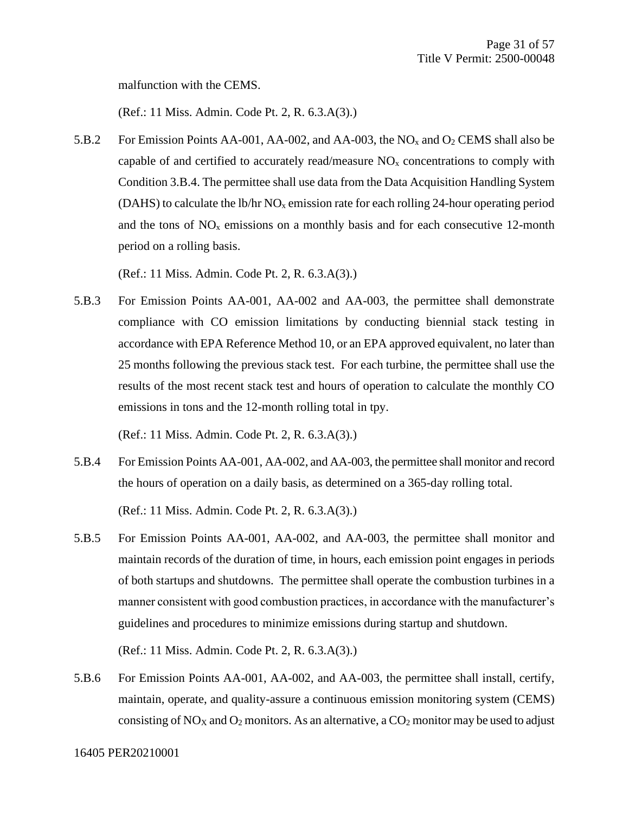malfunction with the CEMS.

(Ref.: 11 Miss. Admin. Code Pt. 2, R. 6.3.A(3).)

5.B.2 For Emission Points AA-001, AA-002, and AA-003, the  $NO<sub>x</sub>$  and  $O<sub>2</sub>$  CEMS shall also be capable of and certified to accurately read/measure  $NO<sub>x</sub>$  concentrations to comply with Condition 3.B.4. The permittee shall use data from the Data Acquisition Handling System (DAHS) to calculate the lb/hr  $NO<sub>x</sub>$  emission rate for each rolling 24-hour operating period and the tons of  $NO<sub>x</sub>$  emissions on a monthly basis and for each consecutive 12-month period on a rolling basis.

(Ref.: 11 Miss. Admin. Code Pt. 2, R. 6.3.A(3).)

5.B.3 For Emission Points AA-001, AA-002 and AA-003, the permittee shall demonstrate compliance with CO emission limitations by conducting biennial stack testing in accordance with EPA Reference Method 10, or an EPA approved equivalent, no later than 25 months following the previous stack test. For each turbine, the permittee shall use the results of the most recent stack test and hours of operation to calculate the monthly CO emissions in tons and the 12-month rolling total in tpy.

(Ref.: 11 Miss. Admin. Code Pt. 2, R. 6.3.A(3).)

- 5.B.4 For Emission Points AA-001, AA-002, and AA-003, the permittee shall monitor and record the hours of operation on a daily basis, as determined on a 365-day rolling total. (Ref.: 11 Miss. Admin. Code Pt. 2, R. 6.3.A(3).)
- 5.B.5 For Emission Points AA-001, AA-002, and AA-003, the permittee shall monitor and maintain records of the duration of time, in hours, each emission point engages in periods of both startups and shutdowns. The permittee shall operate the combustion turbines in a manner consistent with good combustion practices, in accordance with the manufacturer's guidelines and procedures to minimize emissions during startup and shutdown.

(Ref.: 11 Miss. Admin. Code Pt. 2, R. 6.3.A(3).)

5.B.6 For Emission Points AA-001, AA-002, and AA-003, the permittee shall install, certify, maintain, operate, and quality-assure a continuous emission monitoring system (CEMS) consisting of  $NO<sub>X</sub>$  and  $O<sub>2</sub>$  monitors. As an alternative, a  $CO<sub>2</sub>$  monitor may be used to adjust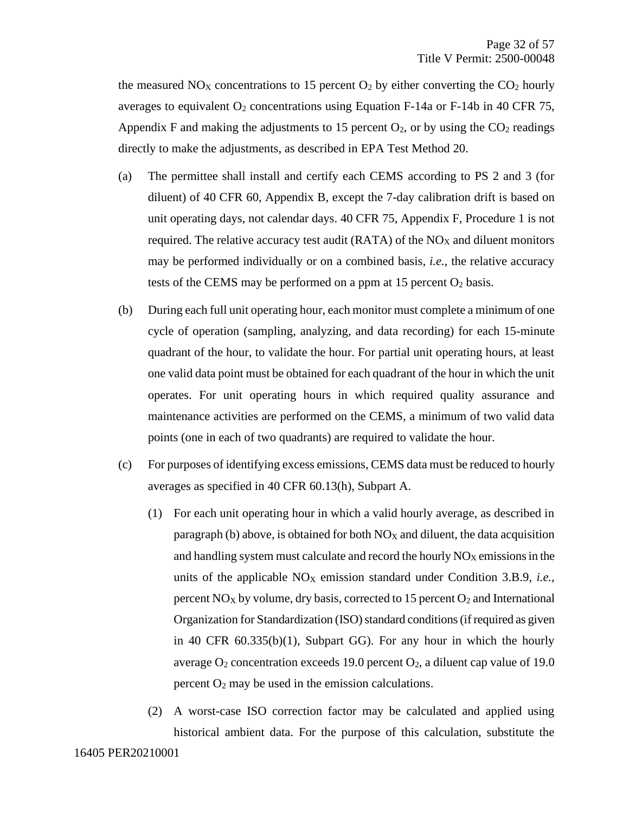the measured  $NO<sub>X</sub>$  concentrations to 15 percent  $O<sub>2</sub>$  by either converting the  $CO<sub>2</sub>$  hourly averages to equivalent  $O_2$  concentrations using Equation F-14a or F-14b in 40 CFR 75, Appendix F and making the adjustments to 15 percent  $O_2$ , or by using the  $CO_2$  readings directly to make the adjustments, as described in EPA Test Method 20.

- (a) The permittee shall install and certify each CEMS according to PS 2 and 3 (for diluent) of 40 CFR 60, Appendix B, except the 7-day calibration drift is based on unit operating days, not calendar days. 40 CFR 75, Appendix F, Procedure 1 is not required. The relative accuracy test audit (RATA) of the  $NO<sub>X</sub>$  and diluent monitors may be performed individually or on a combined basis, *i.e.*, the relative accuracy tests of the CEMS may be performed on a ppm at  $15$  percent  $O_2$  basis.
- (b) During each full unit operating hour, each monitor must complete a minimum of one cycle of operation (sampling, analyzing, and data recording) for each 15-minute quadrant of the hour, to validate the hour. For partial unit operating hours, at least one valid data point must be obtained for each quadrant of the hour in which the unit operates. For unit operating hours in which required quality assurance and maintenance activities are performed on the CEMS, a minimum of two valid data points (one in each of two quadrants) are required to validate the hour.
- (c) For purposes of identifying excess emissions, CEMS data must be reduced to hourly averages as specified in 40 CFR 60.13(h), Subpart A.
	- (1) For each unit operating hour in which a valid hourly average, as described in paragraph (b) above, is obtained for both  $NO_X$  and diluent, the data acquisition and handling system must calculate and record the hourly  $NO<sub>X</sub>$  emissions in the units of the applicable  $NO<sub>X</sub>$  emission standard under Condition 3.B.9, *i.e.*, percent  $NO_X$  by volume, dry basis, corrected to 15 percent  $O_2$  and International Organization for Standardization (ISO) standard conditions (if required as given in 40 CFR 60.335(b)(1), Subpart GG). For any hour in which the hourly average  $O_2$  concentration exceeds 19.0 percent  $O_2$ , a diluent cap value of 19.0 percent  $O_2$  may be used in the emission calculations.
	- (2) A worst-case ISO correction factor may be calculated and applied using historical ambient data. For the purpose of this calculation, substitute the

#### 16405 PER20210001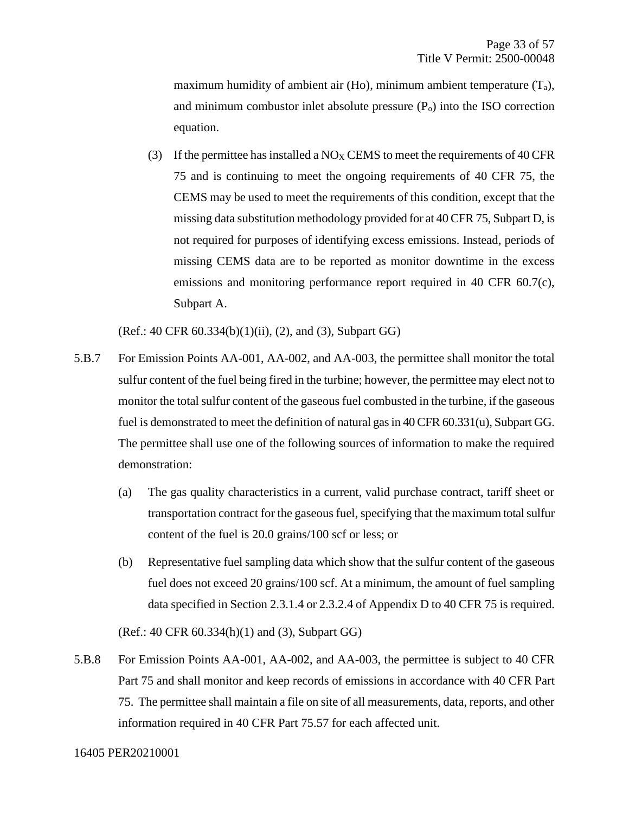maximum humidity of ambient air (Ho), minimum ambient temperature  $(T_a)$ , and minimum combustor inlet absolute pressure  $(P<sub>o</sub>)$  into the ISO correction equation.

(3) If the permittee has installed a  $NO<sub>X</sub>$  CEMS to meet the requirements of 40 CFR 75 and is continuing to meet the ongoing requirements of 40 CFR 75, the CEMS may be used to meet the requirements of this condition, except that the missing data substitution methodology provided for at 40 CFR 75, Subpart D, is not required for purposes of identifying excess emissions. Instead, periods of missing CEMS data are to be reported as monitor downtime in the excess emissions and monitoring performance report required in 40 CFR 60.7(c), Subpart A.

(Ref.: 40 CFR 60.334(b)(1)(ii), (2), and (3), Subpart GG)

- 5.B.7 For Emission Points AA-001, AA-002, and AA-003, the permittee shall monitor the total sulfur content of the fuel being fired in the turbine; however, the permittee may elect not to monitor the total sulfur content of the gaseous fuel combusted in the turbine, if the gaseous fuel is demonstrated to meet the definition of natural gas in 40 CFR 60.331(u), Subpart GG. The permittee shall use one of the following sources of information to make the required demonstration:
	- (a) The gas quality characteristics in a current, valid purchase contract, tariff sheet or transportation contract for the gaseous fuel, specifying that the maximum total sulfur content of the fuel is 20.0 grains/100 scf or less; or
	- (b) Representative fuel sampling data which show that the sulfur content of the gaseous fuel does not exceed 20 grains/100 scf. At a minimum, the amount of fuel sampling data specified in Section 2.3.1.4 or 2.3.2.4 of Appendix D to 40 CFR 75 is required.

(Ref.: 40 CFR 60.334(h)(1) and (3), Subpart GG)

5.B.8 For Emission Points AA-001, AA-002, and AA-003, the permittee is subject to 40 CFR Part 75 and shall monitor and keep records of emissions in accordance with 40 CFR Part 75. The permittee shall maintain a file on site of all measurements, data, reports, and other information required in 40 CFR Part 75.57 for each affected unit.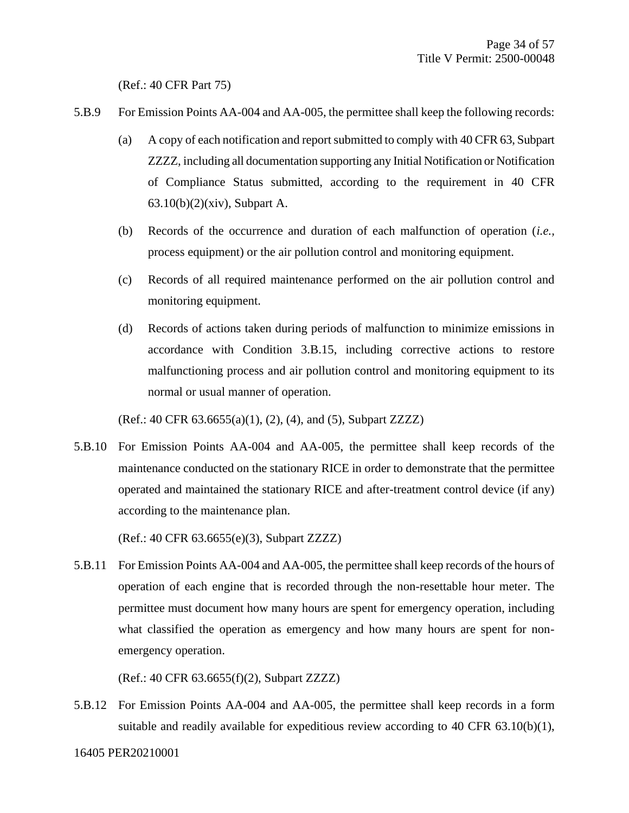(Ref.: 40 CFR Part 75)

- 5.B.9 For Emission Points AA-004 and AA-005, the permittee shall keep the following records:
	- (a) A copy of each notification and report submitted to comply with 40 CFR 63, Subpart ZZZZ, including all documentation supporting any Initial Notification or Notification of Compliance Status submitted, according to the requirement in 40 CFR 63.10(b)(2)(xiv), Subpart A.
	- (b) Records of the occurrence and duration of each malfunction of operation (*i.e.,* process equipment) or the air pollution control and monitoring equipment.
	- (c) Records of all required maintenance performed on the air pollution control and monitoring equipment.
	- (d) Records of actions taken during periods of malfunction to minimize emissions in accordance with Condition 3.B.15, including corrective actions to restore malfunctioning process and air pollution control and monitoring equipment to its normal or usual manner of operation.

(Ref.: 40 CFR 63.6655(a)(1), (2), (4), and (5), Subpart ZZZZ)

5.B.10 For Emission Points AA-004 and AA-005, the permittee shall keep records of the maintenance conducted on the stationary RICE in order to demonstrate that the permittee operated and maintained the stationary RICE and after-treatment control device (if any) according to the maintenance plan.

(Ref.: 40 CFR 63.6655(e)(3), Subpart ZZZZ)

5.B.11 For Emission Points AA-004 and AA-005, the permittee shall keep records of the hours of operation of each engine that is recorded through the non-resettable hour meter. The permittee must document how many hours are spent for emergency operation, including what classified the operation as emergency and how many hours are spent for nonemergency operation.

(Ref.: 40 CFR 63.6655(f)(2), Subpart ZZZZ)

5.B.12 For Emission Points AA-004 and AA-005, the permittee shall keep records in a form suitable and readily available for expeditious review according to 40 CFR 63.10(b)(1),

16405 PER20210001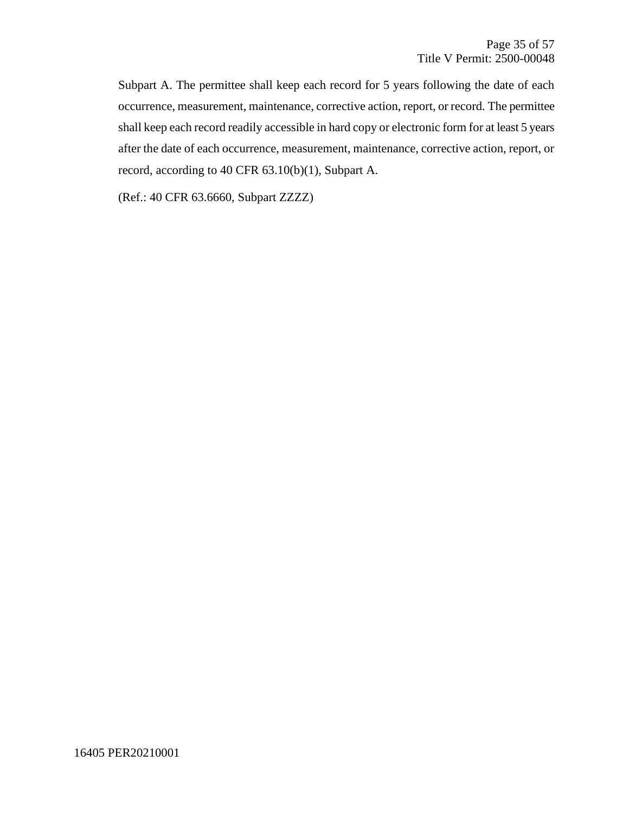Subpart A. The permittee shall keep each record for 5 years following the date of each occurrence, measurement, maintenance, corrective action, report, or record. The permittee shall keep each record readily accessible in hard copy or electronic form for at least 5 years after the date of each occurrence, measurement, maintenance, corrective action, report, or record, according to 40 CFR 63.10(b)(1), Subpart A.

(Ref.: 40 CFR 63.6660, Subpart ZZZZ)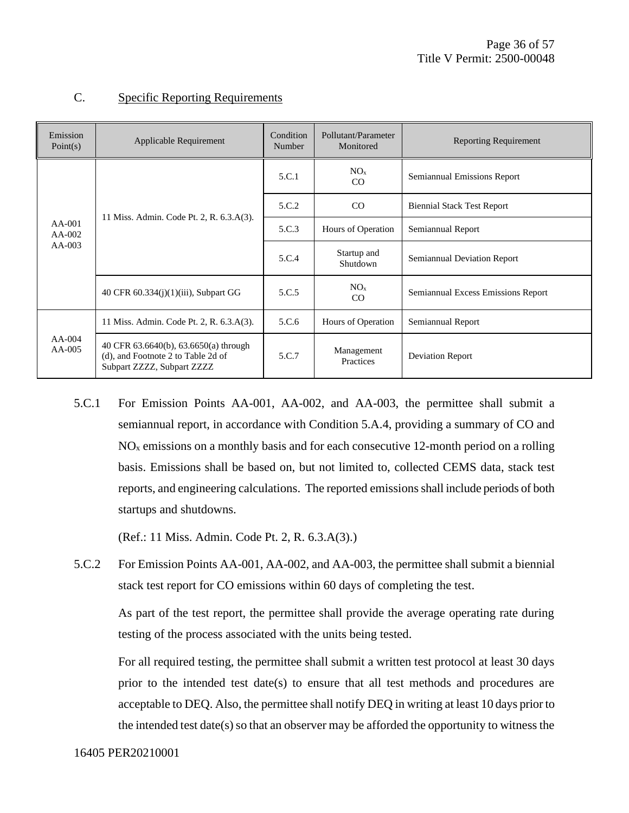| Emission<br>Point(s) | Applicable Requirement                                                                                    | Condition<br>Number | Pollutant/Parameter<br>Monitored | <b>Reporting Requirement</b>       |
|----------------------|-----------------------------------------------------------------------------------------------------------|---------------------|----------------------------------|------------------------------------|
|                      |                                                                                                           | 5.C.1               | NO <sub>x</sub><br>CO            | Semiannual Emissions Report        |
|                      |                                                                                                           | 5.C.2               | CO                               | <b>Biennial Stack Test Report</b>  |
| $AA-001$<br>$AA-002$ | 11 Miss. Admin. Code Pt. 2, R. 6.3.A(3).<br>40 CFR 60.334(j)(1)(iii), Subpart GG                          | 5.C.3               | Hours of Operation               | Semiannual Report                  |
| $AA-003$             |                                                                                                           | 5.C.4               | Startup and<br>Shutdown          | Semiannual Deviation Report        |
|                      |                                                                                                           | 5.C.5               | NO <sub>x</sub><br>CO            | Semiannual Excess Emissions Report |
|                      | 11 Miss. Admin. Code Pt. 2, R. 6.3.A(3).                                                                  | 5.C.6               | Hours of Operation               | Semiannual Report                  |
| $AA-004$<br>$AA-005$ | 40 CFR 63.6640(b), 63.6650(a) through<br>(d), and Footnote 2 to Table 2d of<br>Subpart ZZZZ, Subpart ZZZZ | 5.C.7               | Management<br>Practices          | <b>Deviation Report</b>            |

#### C. Specific Reporting Requirements

5.C.1 For Emission Points AA-001, AA-002, and AA-003, the permittee shall submit a semiannual report, in accordance with Condition 5.A.4, providing a summary of CO and  $NO<sub>x</sub>$  emissions on a monthly basis and for each consecutive 12-month period on a rolling basis. Emissions shall be based on, but not limited to, collected CEMS data, stack test reports, and engineering calculations. The reported emissions shall include periods of both startups and shutdowns.

(Ref.: 11 Miss. Admin. Code Pt. 2, R. 6.3.A(3).)

5.C.2 For Emission Points AA-001, AA-002, and AA-003, the permittee shall submit a biennial stack test report for CO emissions within 60 days of completing the test.

As part of the test report, the permittee shall provide the average operating rate during testing of the process associated with the units being tested.

For all required testing, the permittee shall submit a written test protocol at least 30 days prior to the intended test date(s) to ensure that all test methods and procedures are acceptable to DEQ. Also, the permittee shall notify DEQ in writing at least 10 days prior to the intended test date(s) so that an observer may be afforded the opportunity to witness the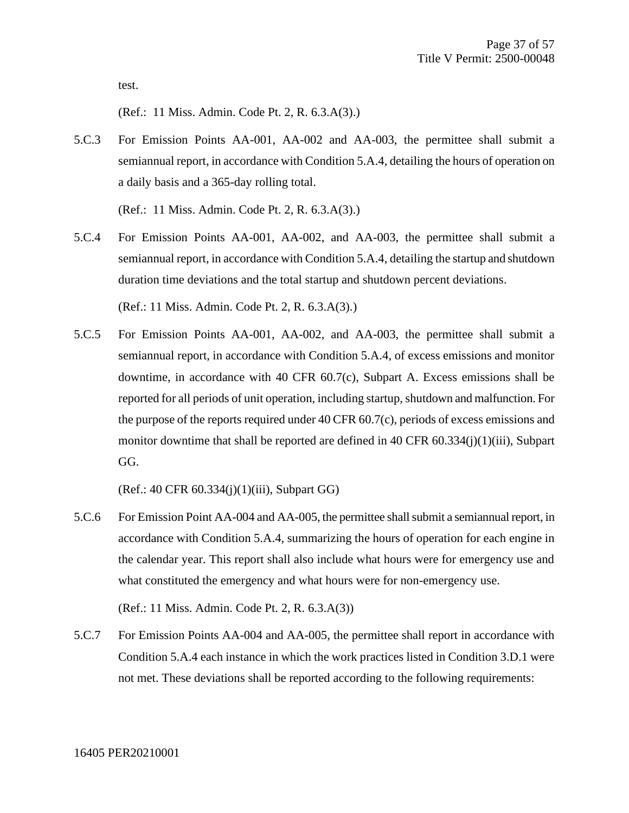test.

(Ref.: 11 Miss. Admin. Code Pt. 2, R. 6.3.A(3).)

5.C.3 For Emission Points AA-001, AA-002 and AA-003, the permittee shall submit a semiannual report, in accordance with Condition 5.A.4, detailing the hours of operation on a daily basis and a 365-day rolling total.

(Ref.: 11 Miss. Admin. Code Pt. 2, R. 6.3.A(3).)

5.C.4 For Emission Points AA-001, AA-002, and AA-003, the permittee shall submit a semiannual report, in accordance with Condition 5.A.4, detailing the startup and shutdown duration time deviations and the total startup and shutdown percent deviations.

(Ref.: 11 Miss. Admin. Code Pt. 2, R. 6.3.A(3).)

5.C.5 For Emission Points AA-001, AA-002, and AA-003, the permittee shall submit a semiannual report, in accordance with Condition 5.A.4, of excess emissions and monitor downtime, in accordance with 40 CFR 60.7(c), Subpart A. Excess emissions shall be reported for all periods of unit operation, including startup, shutdown and malfunction. For the purpose of the reports required under 40 CFR 60.7(c), periods of excess emissions and monitor downtime that shall be reported are defined in 40 CFR 60.334(j)(1)(iii), Subpart GG.

(Ref.: 40 CFR 60.334(j)(1)(iii), Subpart GG)

5.C.6 For Emission Point AA-004 and AA-005, the permittee shall submit a semiannual report, in accordance with Condition 5.A.4, summarizing the hours of operation for each engine in the calendar year. This report shall also include what hours were for emergency use and what constituted the emergency and what hours were for non-emergency use.

(Ref.: 11 Miss. Admin. Code Pt. 2, R. 6.3.A(3))

5.C.7 For Emission Points AA-004 and AA-005, the permittee shall report in accordance with Condition 5.A.4 each instance in which the work practices listed in Condition 3.D.1 were not met. These deviations shall be reported according to the following requirements: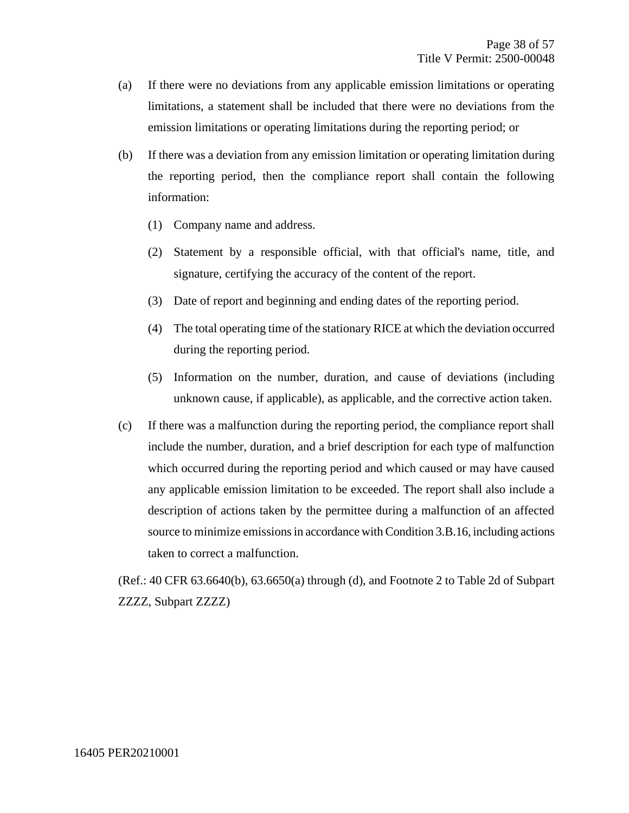- (a) If there were no deviations from any applicable emission limitations or operating limitations, a statement shall be included that there were no deviations from the emission limitations or operating limitations during the reporting period; or
- (b) If there was a deviation from any emission limitation or operating limitation during the reporting period, then the compliance report shall contain the following information:
	- (1) Company name and address.
	- (2) Statement by a responsible official, with that official's name, title, and signature, certifying the accuracy of the content of the report.
	- (3) Date of report and beginning and ending dates of the reporting period.
	- (4) The total operating time of the stationary RICE at which the deviation occurred during the reporting period.
	- (5) Information on the number, duration, and cause of deviations (including unknown cause, if applicable), as applicable, and the corrective action taken.
- (c) If there was a malfunction during the reporting period, the compliance report shall include the number, duration, and a brief description for each type of malfunction which occurred during the reporting period and which caused or may have caused any applicable emission limitation to be exceeded. The report shall also include a description of actions taken by the permittee during a malfunction of an affected source to minimize emissions in accordance with Condition 3.B.16, including actions taken to correct a malfunction.

(Ref.: 40 CFR 63.6640(b), 63.6650(a) through (d), and Footnote 2 to Table 2d of Subpart ZZZZ, Subpart ZZZZ)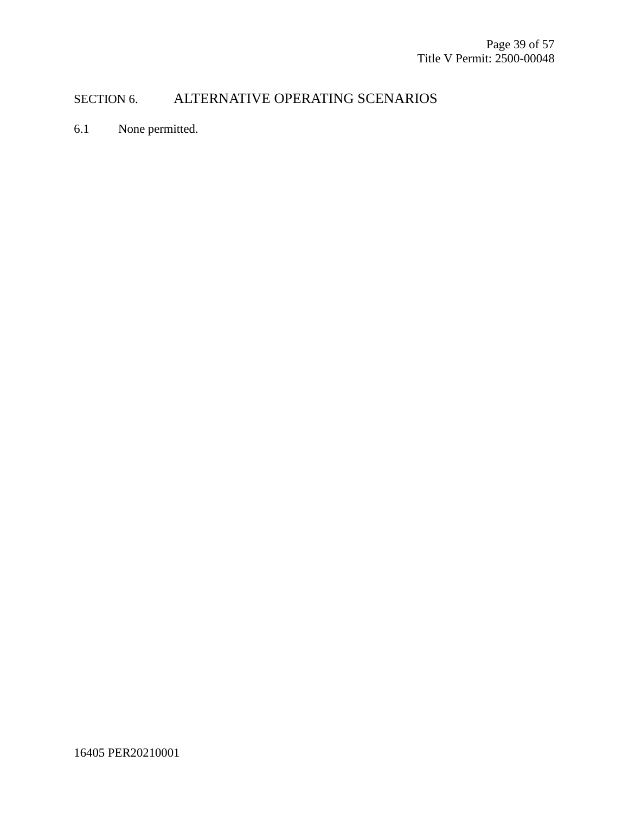## SECTION 6. ALTERNATIVE OPERATING SCENARIOS

6.1 None permitted.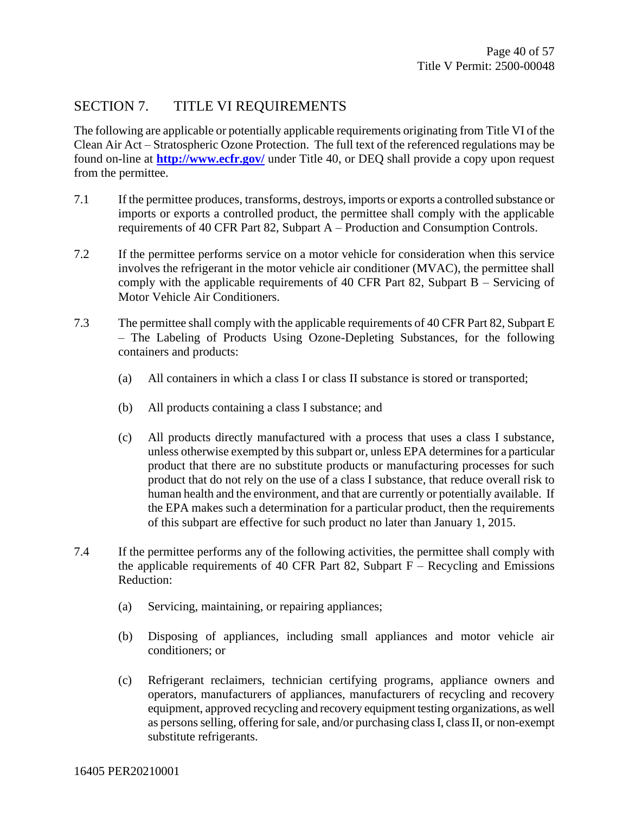## SECTION 7. TITLE VI REQUIREMENTS

The following are applicable or potentially applicable requirements originating from Title VI of the Clean Air Act – Stratospheric Ozone Protection. The full text of the referenced regulations may be found on-line at **<http://www.ecfr.gov/>** under Title 40, or DEQ shall provide a copy upon request from the permittee.

- 7.1 If the permittee produces, transforms, destroys, imports or exports a controlled substance or imports or exports a controlled product, the permittee shall comply with the applicable requirements of 40 CFR Part 82, Subpart A – Production and Consumption Controls.
- 7.2 If the permittee performs service on a motor vehicle for consideration when this service involves the refrigerant in the motor vehicle air conditioner (MVAC), the permittee shall comply with the applicable requirements of 40 CFR Part 82, Subpart B – Servicing of Motor Vehicle Air Conditioners.
- 7.3 The permittee shall comply with the applicable requirements of 40 CFR Part 82, Subpart E – The Labeling of Products Using Ozone-Depleting Substances, for the following containers and products:
	- (a) All containers in which a class I or class II substance is stored or transported;
	- (b) All products containing a class I substance; and
	- (c) All products directly manufactured with a process that uses a class I substance, unless otherwise exempted by this subpart or, unless EPA determines for a particular product that there are no substitute products or manufacturing processes for such product that do not rely on the use of a class I substance, that reduce overall risk to human health and the environment, and that are currently or potentially available. If the EPA makes such a determination for a particular product, then the requirements of this subpart are effective for such product no later than January 1, 2015.
- 7.4 If the permittee performs any of the following activities, the permittee shall comply with the applicable requirements of 40 CFR Part 82, Subpart  $F -$  Recycling and Emissions Reduction:
	- (a) Servicing, maintaining, or repairing appliances;
	- (b) Disposing of appliances, including small appliances and motor vehicle air conditioners; or
	- (c) Refrigerant reclaimers, technician certifying programs, appliance owners and operators, manufacturers of appliances, manufacturers of recycling and recovery equipment, approved recycling and recovery equipment testing organizations, as well as persons selling, offering for sale, and/or purchasing class I, class II, or non-exempt substitute refrigerants.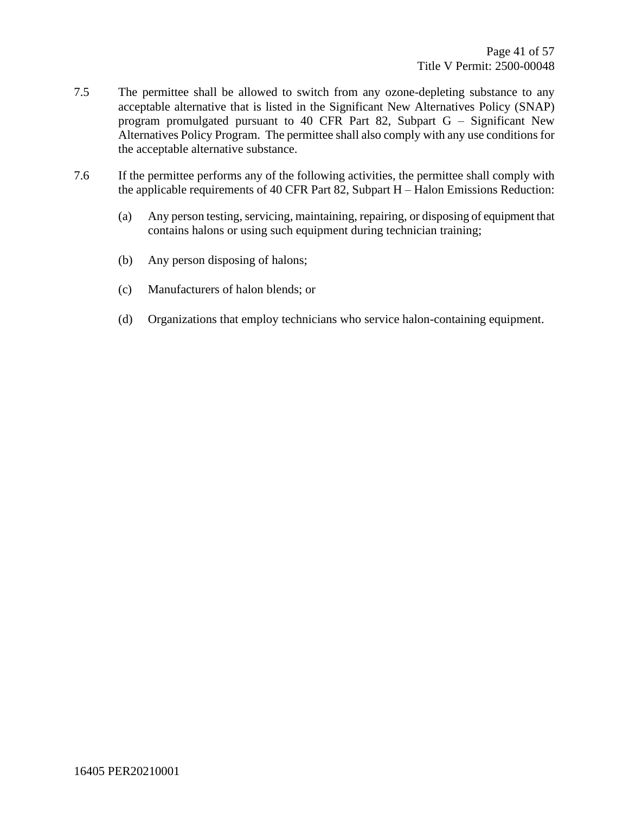- 7.5 The permittee shall be allowed to switch from any ozone-depleting substance to any acceptable alternative that is listed in the Significant New Alternatives Policy (SNAP) program promulgated pursuant to 40 CFR Part 82, Subpart G – Significant New Alternatives Policy Program. The permittee shall also comply with any use conditions for the acceptable alternative substance.
- 7.6 If the permittee performs any of the following activities, the permittee shall comply with the applicable requirements of 40 CFR Part 82, Subpart H – Halon Emissions Reduction:
	- (a) Any person testing, servicing, maintaining, repairing, or disposing of equipment that contains halons or using such equipment during technician training;
	- (b) Any person disposing of halons;
	- (c) Manufacturers of halon blends; or
	- (d) Organizations that employ technicians who service halon-containing equipment.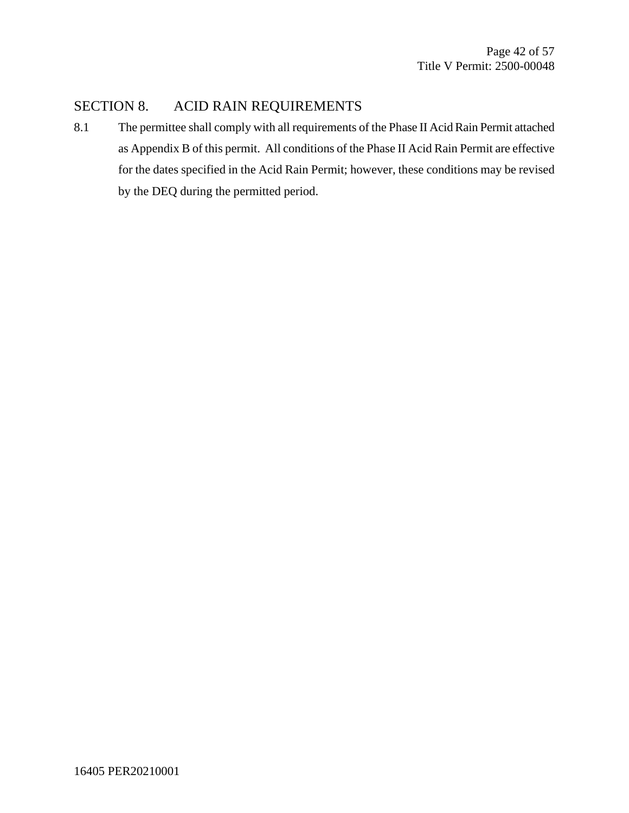#### SECTION 8. ACID RAIN REQUIREMENTS

8.1 The permittee shall comply with all requirements of the Phase II Acid Rain Permit attached as Appendix B of this permit. All conditions of the Phase II Acid Rain Permit are effective for the dates specified in the Acid Rain Permit; however, these conditions may be revised by the DEQ during the permitted period.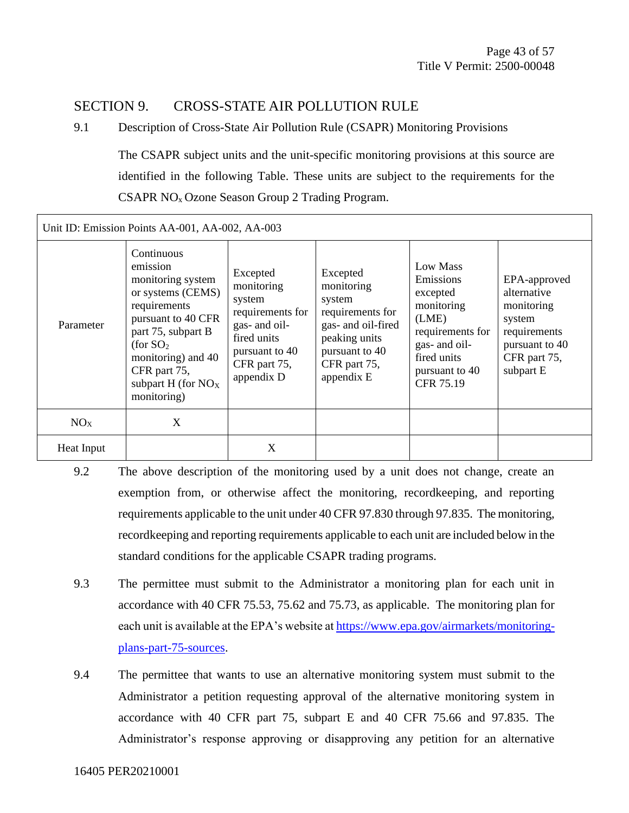#### SECTION 9. CROSS-STATE AIR POLLUTION RULE

#### 9.1 Description of Cross-State Air Pollution Rule (CSAPR) Monitoring Provisions

The CSAPR subject units and the unit-specific monitoring provisions at this source are identified in the following Table. These units are subject to the requirements for the CSAPR NOx Ozone Season Group 2 Trading Program.

| Unit ID: Emission Points AA-001, AA-002, AA-003 |                                                                                                                                                                                                                             |                                                                                                                                      |                                                                                                                                             |                                                                                                                                             |                                                                                                                    |
|-------------------------------------------------|-----------------------------------------------------------------------------------------------------------------------------------------------------------------------------------------------------------------------------|--------------------------------------------------------------------------------------------------------------------------------------|---------------------------------------------------------------------------------------------------------------------------------------------|---------------------------------------------------------------------------------------------------------------------------------------------|--------------------------------------------------------------------------------------------------------------------|
| Parameter                                       | Continuous<br>emission<br>monitoring system<br>or systems (CEMS)<br>requirements<br>pursuant to 40 CFR<br>part 75, subpart B<br>(for $SO2$<br>monitoring) and 40<br>CFR part 75,<br>subpart $H$ (for $NOX$ )<br>monitoring) | Excepted<br>monitoring<br>system<br>requirements for<br>gas- and oil-<br>fired units<br>pursuant to 40<br>CFR part 75,<br>appendix D | Excepted<br>monitoring<br>system<br>requirements for<br>gas- and oil-fired<br>peaking units<br>pursuant to 40<br>CFR part 75,<br>appendix E | Low Mass<br>Emissions<br>excepted<br>monitoring<br>(LME)<br>requirements for<br>gas- and oil-<br>fired units<br>pursuant to 40<br>CFR 75.19 | EPA-approved<br>alternative<br>monitoring<br>system<br>requirements<br>pursuant to 40<br>CFR part 75,<br>subpart E |
| NO <sub>X</sub>                                 | X                                                                                                                                                                                                                           |                                                                                                                                      |                                                                                                                                             |                                                                                                                                             |                                                                                                                    |
| Heat Input                                      |                                                                                                                                                                                                                             | X                                                                                                                                    |                                                                                                                                             |                                                                                                                                             |                                                                                                                    |

- 9.2 The above description of the monitoring used by a unit does not change, create an exemption from, or otherwise affect the monitoring, recordkeeping, and reporting requirements applicable to the unit under 40 CFR 97.830 through 97.835. The monitoring, recordkeeping and reporting requirements applicable to each unit are included below in the standard conditions for the applicable CSAPR trading programs.
- 9.3 The permittee must submit to the Administrator a monitoring plan for each unit in accordance with 40 CFR 75.53, 75.62 and 75.73, as applicable. The monitoring plan for each unit is available at the EPA's website a[t https://www.epa.gov/airmarkets/monitoring](https://www.epa.gov/airmarkets/monitoring-plans-part-75-sources)[plans-part-75-sources.](https://www.epa.gov/airmarkets/monitoring-plans-part-75-sources)
- 9.4 The permittee that wants to use an alternative monitoring system must submit to the Administrator a petition requesting approval of the alternative monitoring system in accordance with 40 CFR part 75, subpart E and 40 CFR 75.66 and 97.835. The Administrator's response approving or disapproving any petition for an alternative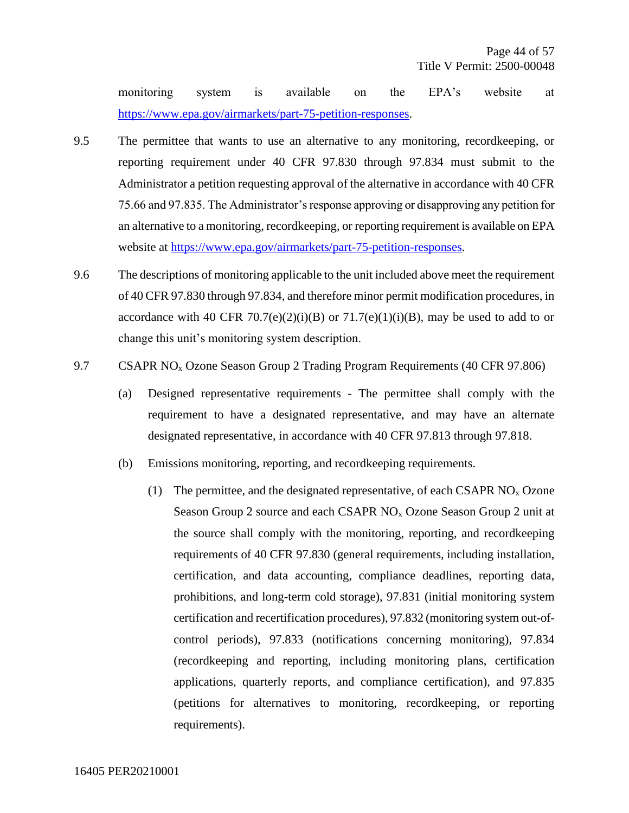monitoring system is available on the EPA's website at [https://www.epa.gov/airmarkets/part-75-petition-responses.](https://www.epa.gov/airmarkets/part-75-petition-responses)

- 9.5 The permittee that wants to use an alternative to any monitoring, recordkeeping, or reporting requirement under 40 CFR 97.830 through 97.834 must submit to the Administrator a petition requesting approval of the alternative in accordance with 40 CFR 75.66 and 97.835. The Administrator's response approving or disapproving any petition for an alternative to a monitoring, recordkeeping, or reporting requirement is available on EPA website at [https://www.epa.gov/airmarkets/part-75-petition-responses.](https://www.epa.gov/airmarkets/part-75-petition-responses)
- 9.6 The descriptions of monitoring applicable to the unit included above meet the requirement of 40 CFR 97.830 through 97.834, and therefore minor permit modification procedures, in accordance with 40 CFR 70.7(e)(2)(i)(B) or  $71.7(e)(1)(i)(B)$ , may be used to add to or change this unit's monitoring system description.
- 9.7 CSAPR NO<sub>x</sub> Ozone Season Group 2 Trading Program Requirements (40 CFR 97.806)
	- (a) Designed representative requirements The permittee shall comply with the requirement to have a designated representative, and may have an alternate designated representative, in accordance with 40 CFR 97.813 through 97.818.
	- (b) Emissions monitoring, reporting, and recordkeeping requirements.
		- (1) The permittee, and the designated representative, of each CSAPR  $NO<sub>x</sub> Ozone$ Season Group 2 source and each CSAPR  $NO<sub>x</sub>$  Ozone Season Group 2 unit at the source shall comply with the monitoring, reporting, and recordkeeping requirements of 40 CFR 97.830 (general requirements, including installation, certification, and data accounting, compliance deadlines, reporting data, prohibitions, and long-term cold storage), 97.831 (initial monitoring system certification and recertification procedures), 97.832 (monitoring system out-ofcontrol periods), 97.833 (notifications concerning monitoring), 97.834 (recordkeeping and reporting, including monitoring plans, certification applications, quarterly reports, and compliance certification), and 97.835 (petitions for alternatives to monitoring, recordkeeping, or reporting requirements).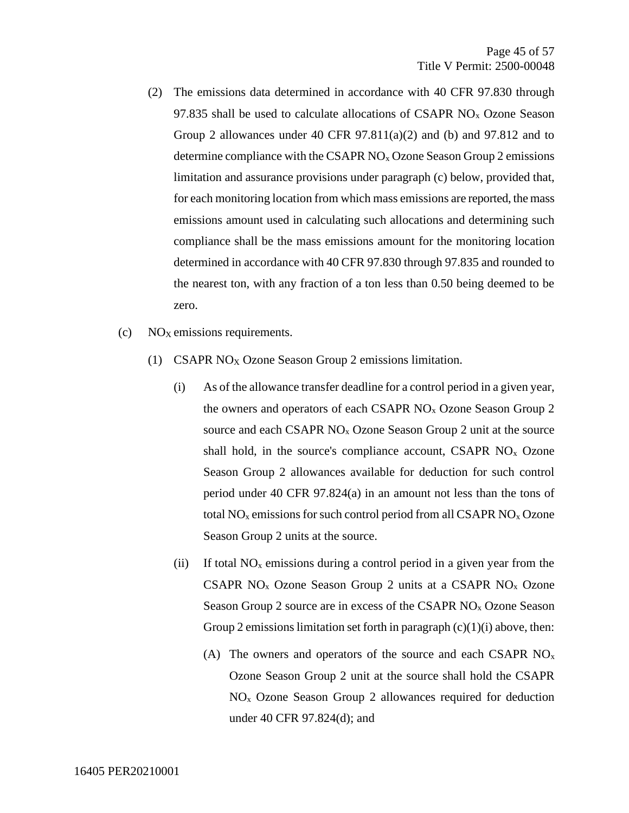- (2) The emissions data determined in accordance with 40 CFR 97.830 through 97.835 shall be used to calculate allocations of CSAPR  $NO<sub>x</sub> Ozone$  Season Group 2 allowances under 40 CFR  $97.811(a)(2)$  and (b) and  $97.812$  and to determine compliance with the CSAPR  $NO<sub>x</sub> Oz$  and Season Group 2 emissions limitation and assurance provisions under paragraph (c) below, provided that, for each monitoring location from which mass emissions are reported, the mass emissions amount used in calculating such allocations and determining such compliance shall be the mass emissions amount for the monitoring location determined in accordance with 40 CFR 97.830 through 97.835 and rounded to the nearest ton, with any fraction of a ton less than 0.50 being deemed to be zero.
- $\rm (c)$  NO<sub>X</sub> emissions requirements.
	- (1) CSAPR NO<sub>X</sub> Ozone Season Group 2 emissions limitation.
		- (i) As of the allowance transfer deadline for a control period in a given year, the owners and operators of each CSAPR  $NO<sub>x</sub>$  Ozone Season Group 2 source and each CSAPR NO<sub>x</sub> Ozone Season Group 2 unit at the source shall hold, in the source's compliance account, CSAPR  $NO<sub>x</sub>$  Ozone Season Group 2 allowances available for deduction for such control period under 40 CFR 97.824(a) in an amount not less than the tons of total  $NO<sub>x</sub>$  emissions for such control period from all CSAPR  $NO<sub>x</sub>$  Ozone Season Group 2 units at the source.
		- (ii) If total  $NO<sub>x</sub>$  emissions during a control period in a given year from the CSAPR  $NO<sub>x</sub>$  Ozone Season Group 2 units at a CSAPR  $NO<sub>x</sub>$  Ozone Season Group 2 source are in excess of the CSAPR  $NO<sub>x</sub>$  Ozone Season Group 2 emissions limitation set forth in paragraph  $(c)(1)(i)$  above, then:
			- (A) The owners and operators of the source and each CSAPR  $NO<sub>x</sub>$ Ozone Season Group 2 unit at the source shall hold the CSAPR NO<sup>x</sup> Ozone Season Group 2 allowances required for deduction under 40 CFR 97.824(d); and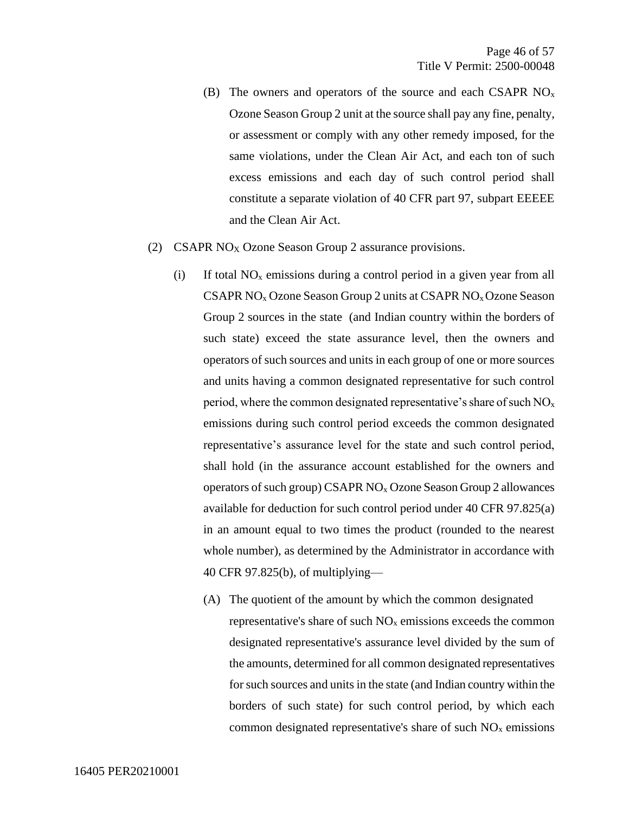- (B) The owners and operators of the source and each CSAPR  $NO<sub>x</sub>$ Ozone Season Group 2 unit at the source shall pay any fine, penalty, or assessment or comply with any other remedy imposed, for the same violations, under the Clean Air Act, and each ton of such excess emissions and each day of such control period shall constitute a separate violation of 40 CFR part 97, subpart EEEEE and the Clean Air Act.
- (2) CSAPR NO<sub>X</sub> Ozone Season Group 2 assurance provisions.
	- (i) If total  $NO<sub>x</sub>$  emissions during a control period in a given year from all CSAPR  $NO<sub>x</sub> Oz$  Ozone Season Group 2 units at CSAPR  $NO<sub>x</sub> Oz$  one Season Group 2 sources in the state (and Indian country within the borders of such state) exceed the state assurance level, then the owners and operators of such sources and units in each group of one or more sources and units having a common designated representative for such control period, where the common designated representative's share of such  $NO<sub>x</sub>$ emissions during such control period exceeds the common designated representative's assurance level for the state and such control period, shall hold (in the assurance account established for the owners and operators of such group) CSAPR  $NO<sub>x</sub>$  Ozone Season Group 2 allowances available for deduction for such control period under 40 CFR 97.825(a) in an amount equal to two times the product (rounded to the nearest whole number), as determined by the Administrator in accordance with 40 CFR 97.825(b), of multiplying—
		- (A) The quotient of the amount by which the common designated representative's share of such  $NO<sub>x</sub>$  emissions exceeds the common designated representative's assurance level divided by the sum of the amounts, determined for all common designated representatives for such sources and units in the state (and Indian country within the borders of such state) for such control period, by which each common designated representative's share of such  $NO<sub>x</sub>$  emissions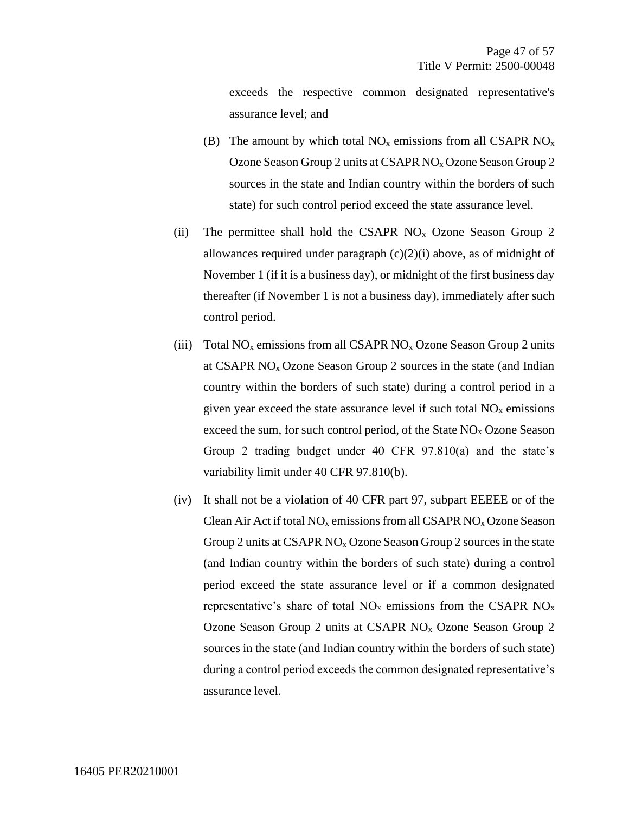exceeds the respective common designated representative's assurance level; and

- (B) The amount by which total  $NO_x$  emissions from all CSAPR  $NO_x$ Ozone Season Group 2 units at CSAPR NO<sub>x</sub> Ozone Season Group 2 sources in the state and Indian country within the borders of such state) for such control period exceed the state assurance level.
- (ii) The permittee shall hold the CSAPR  $NO<sub>x</sub>$  Ozone Season Group 2 allowances required under paragraph  $(c)(2)(i)$  above, as of midnight of November 1 (if it is a business day), or midnight of the first business day thereafter (if November 1 is not a business day), immediately after such control period.
- (iii) Total  $NO<sub>x</sub>$  emissions from all CSAPR  $NO<sub>x</sub>$  Ozone Season Group 2 units at CSAPR  $NO<sub>x</sub> Ozone Season Group 2 sources in the state (and Indian)$ country within the borders of such state) during a control period in a given year exceed the state assurance level if such total  $NO<sub>x</sub>$  emissions exceed the sum, for such control period, of the State  $NO<sub>x</sub> Oz$  Ozone Season Group 2 trading budget under 40 CFR 97.810(a) and the state's variability limit under 40 CFR 97.810(b).
- (iv) It shall not be a violation of 40 CFR part 97, subpart EEEEE or of the Clean Air Act if total  $NO_x$  emissions from all CSAPR  $NO_x$  Ozone Season Group 2 units at CSAPR  $NO<sub>x</sub> Oz$  Casson Group 2 sources in the state (and Indian country within the borders of such state) during a control period exceed the state assurance level or if a common designated representative's share of total  $NO<sub>x</sub>$  emissions from the CSAPR  $NO<sub>x</sub>$ Ozone Season Group 2 units at CSAPR NO<sup>x</sup> Ozone Season Group 2 sources in the state (and Indian country within the borders of such state) during a control period exceeds the common designated representative's assurance level.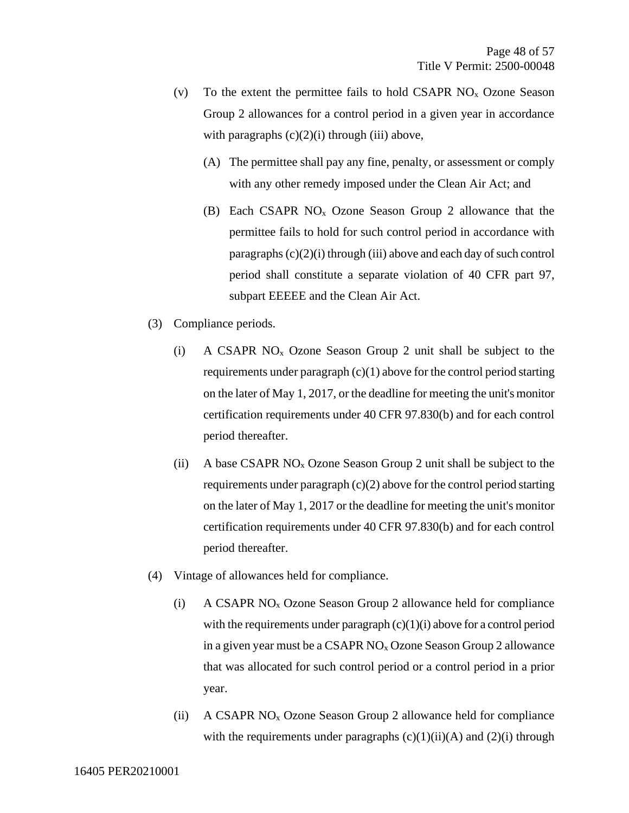- (v) To the extent the permittee fails to hold CSAPR  $NO<sub>x</sub>$  Ozone Season Group 2 allowances for a control period in a given year in accordance with paragraphs  $(c)(2)(i)$  through  $(iii)$  above,
	- (A) The permittee shall pay any fine, penalty, or assessment or comply with any other remedy imposed under the Clean Air Act; and
	- (B) Each CSAPR  $NO<sub>x</sub>$  Ozone Season Group 2 allowance that the permittee fails to hold for such control period in accordance with paragraphs (c)(2)(i) through (iii) above and each day of such control period shall constitute a separate violation of 40 CFR part 97, subpart EEEEE and the Clean Air Act.
- (3) Compliance periods.
	- (i) A CSAPR NO<sup>x</sup> Ozone Season Group 2 unit shall be subject to the requirements under paragraph  $(c)(1)$  above for the control period starting on the later of May 1, 2017, or the deadline for meeting the unit's monitor certification requirements under 40 CFR 97.830(b) and for each control period thereafter.
	- (ii) A base CSAPR  $NO<sub>x</sub> Ozone Season Group 2 unit shall be subject to the$ requirements under paragraph (c)(2) above for the control period starting on the later of May 1, 2017 or the deadline for meeting the unit's monitor certification requirements under 40 CFR 97.830(b) and for each control period thereafter.
- (4) Vintage of allowances held for compliance.
	- (i) A CSAPR  $NO<sub>x</sub>$  Ozone Season Group 2 allowance held for compliance with the requirements under paragraph  $(c)(1)(i)$  above for a control period in a given year must be a CSAPR  $NO<sub>x</sub> Oz$  allowed  $O<sub>x</sub> Oz$  allowance that was allocated for such control period or a control period in a prior year.
	- (ii) A CSAPR  $NO<sub>x</sub>$  Ozone Season Group 2 allowance held for compliance with the requirements under paragraphs  $(c)(1)(ii)(A)$  and  $(2)(i)$  through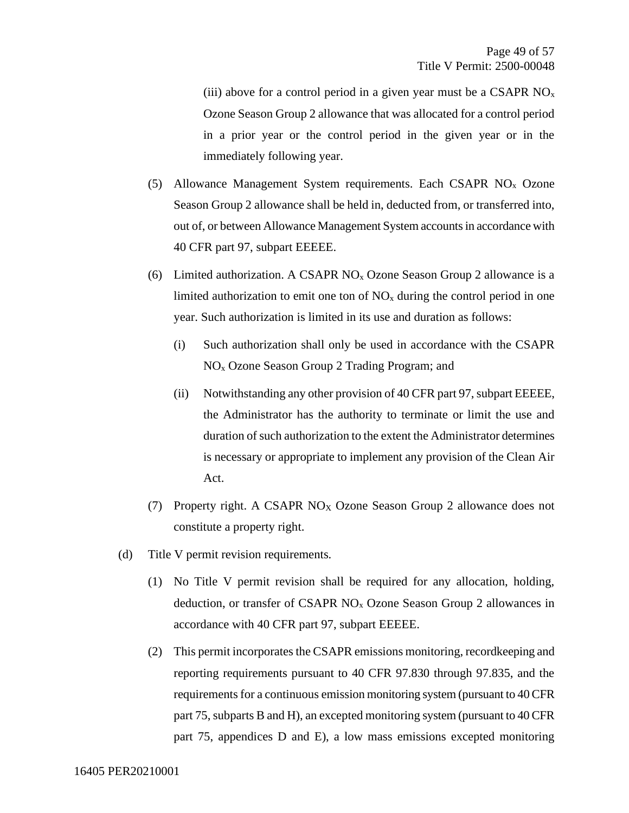(iii) above for a control period in a given year must be a CSAPR  $NO<sub>x</sub>$ Ozone Season Group 2 allowance that was allocated for a control period in a prior year or the control period in the given year or in the immediately following year.

- (5) Allowance Management System requirements. Each CSAPR  $NO<sub>x</sub>$  Ozone Season Group 2 allowance shall be held in, deducted from, or transferred into, out of, or between Allowance Management System accounts in accordance with 40 CFR part 97, subpart EEEEE.
- (6) Limited authorization. A CSAPR  $NO<sub>x</sub>$  Ozone Season Group 2 allowance is a limited authorization to emit one ton of  $NO<sub>x</sub>$  during the control period in one year. Such authorization is limited in its use and duration as follows:
	- (i) Such authorization shall only be used in accordance with the CSAPR NO<sup>x</sup> Ozone Season Group 2 Trading Program; and
	- (ii) Notwithstanding any other provision of 40 CFR part 97, subpart EEEEE, the Administrator has the authority to terminate or limit the use and duration of such authorization to the extent the Administrator determines is necessary or appropriate to implement any provision of the Clean Air Act.
- (7) Property right. A CSAPR NO<sup>X</sup> Ozone Season Group 2 allowance does not constitute a property right.
- (d) Title V permit revision requirements*.* 
	- (1) No Title V permit revision shall be required for any allocation, holding, deduction, or transfer of CSAPR  $NO<sub>x</sub>$  Ozone Season Group 2 allowances in accordance with 40 CFR part 97, subpart EEEEE.
	- (2) This permit incorporates the CSAPR emissions monitoring, recordkeeping and reporting requirements pursuant to 40 CFR 97.830 through 97.835, and the requirements for a continuous emission monitoring system (pursuant to 40 CFR part 75, subparts B and H), an excepted monitoring system (pursuant to 40 CFR part 75, appendices D and E), a low mass emissions excepted monitoring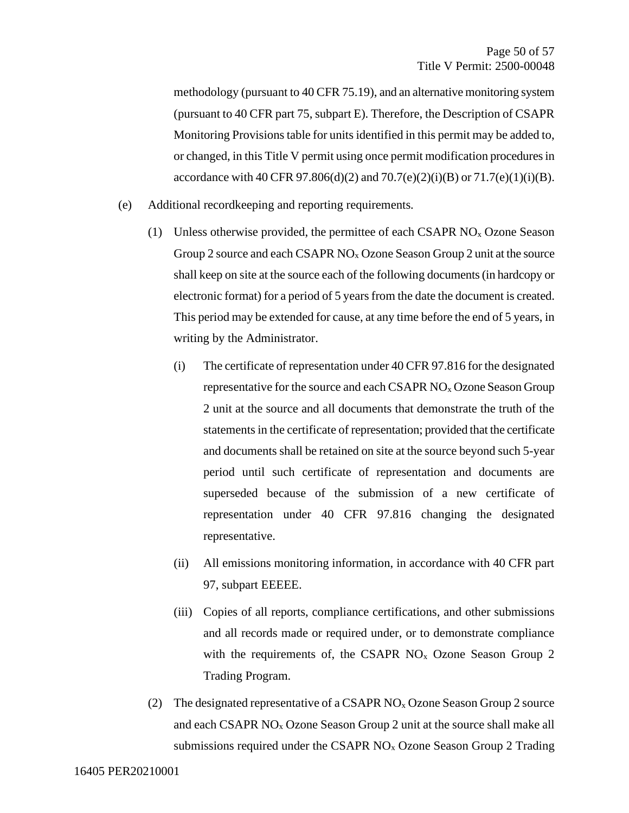methodology (pursuant to 40 CFR 75.19), and an alternative monitoring system (pursuant to 40 CFR part 75, subpart E). Therefore, the Description of CSAPR Monitoring Provisions table for units identified in this permit may be added to, or changed, in this Title V permit using once permit modification procedures in accordance with 40 CFR 97.806(d)(2) and 70.7(e)(2)(i)(B) or 71.7(e)(1)(i)(B).

- (e) Additional recordkeeping and reporting requirements*.* 
	- (1) Unless otherwise provided, the permittee of each CSAPR  $NO<sub>x</sub> Oz$  Season Group 2 source and each CSAPR NO<sub>x</sub> Ozone Season Group 2 unit at the source shall keep on site at the source each of the following documents (in hardcopy or electronic format) for a period of 5 years from the date the document is created. This period may be extended for cause, at any time before the end of 5 years, in writing by the Administrator.
		- (i) The certificate of representation under 40 CFR 97.816 for the designated representative for the source and each CSAPR  $NO<sub>x</sub>$  Ozone Season Group 2 unit at the source and all documents that demonstrate the truth of the statements in the certificate of representation; provided that the certificate and documents shall be retained on site at the source beyond such 5-year period until such certificate of representation and documents are superseded because of the submission of a new certificate of representation under 40 CFR 97.816 changing the designated representative.
		- (ii) All emissions monitoring information, in accordance with 40 CFR part 97, subpart EEEEE.
		- (iii) Copies of all reports, compliance certifications, and other submissions and all records made or required under, or to demonstrate compliance with the requirements of, the CSAPR  $NO<sub>x</sub>$  Ozone Season Group 2 Trading Program.
	- (2) The designated representative of a CSAPR  $NO<sub>x</sub> Oz$  Ozone Season Group 2 source and each CSAPR  $NO<sub>x</sub>$  Ozone Season Group 2 unit at the source shall make all submissions required under the CSAPR  $NO<sub>x</sub>$  Ozone Season Group 2 Trading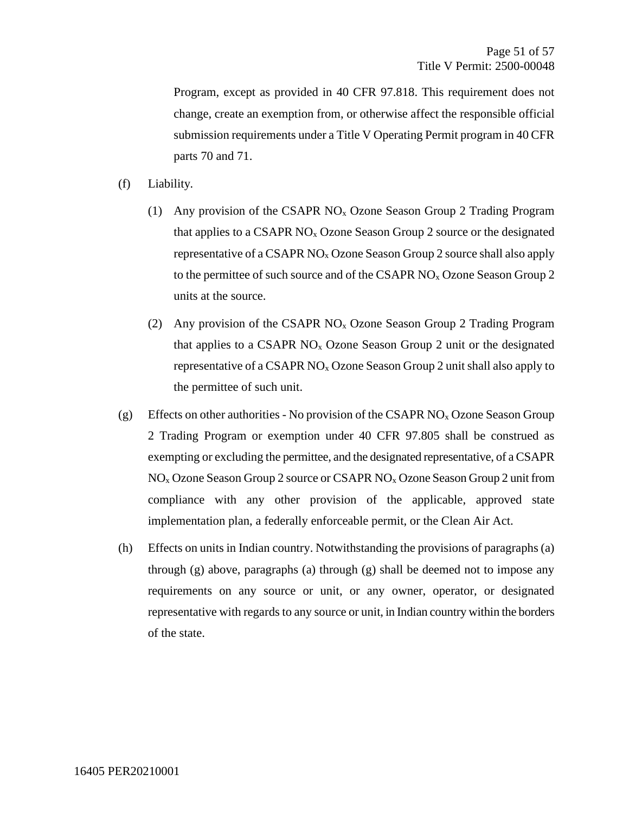Program, except as provided in 40 CFR 97.818. This requirement does not change, create an exemption from, or otherwise affect the responsible official submission requirements under a Title V Operating Permit program in 40 CFR parts 70 and 71.

- (f) Liability*.* 
	- (1) Any provision of the CSAPR  $NO<sub>x</sub>$  Ozone Season Group 2 Trading Program that applies to a CSAPR  $NO<sub>x</sub>$  Ozone Season Group 2 source or the designated representative of a CSAPR NO<sup>x</sup> Ozone Season Group 2 source shall also apply to the permittee of such source and of the CSAPR  $NO<sub>x</sub> O$ zone Season Group 2 units at the source.
	- (2) Any provision of the CSAPR NO<sup>x</sup> Ozone Season Group 2 Trading Program that applies to a CSAPR  $NO<sub>x</sub>$  Ozone Season Group 2 unit or the designated representative of a CSAPR  $NO<sub>x</sub>$  Ozone Season Group 2 unit shall also apply to the permittee of such unit.
- (g) Effects on other authorities *-* No provision of the CSAPR NO<sup>x</sup> Ozone Season Group 2 Trading Program or exemption under 40 CFR 97.805 shall be construed as exempting or excluding the permittee, and the designated representative, of a CSAPR NO<sup>x</sup> Ozone Season Group 2 source or CSAPR NO<sup>x</sup> Ozone Season Group 2 unit from compliance with any other provision of the applicable, approved state implementation plan, a federally enforceable permit, or the Clean Air Act.
- (h) Effects on units in Indian country. Notwithstanding the provisions of paragraphs (a) through (g) above, paragraphs (a) through (g) shall be deemed not to impose any requirements on any source or unit, or any owner, operator, or designated representative with regards to any source or unit, in Indian country within the borders of the state.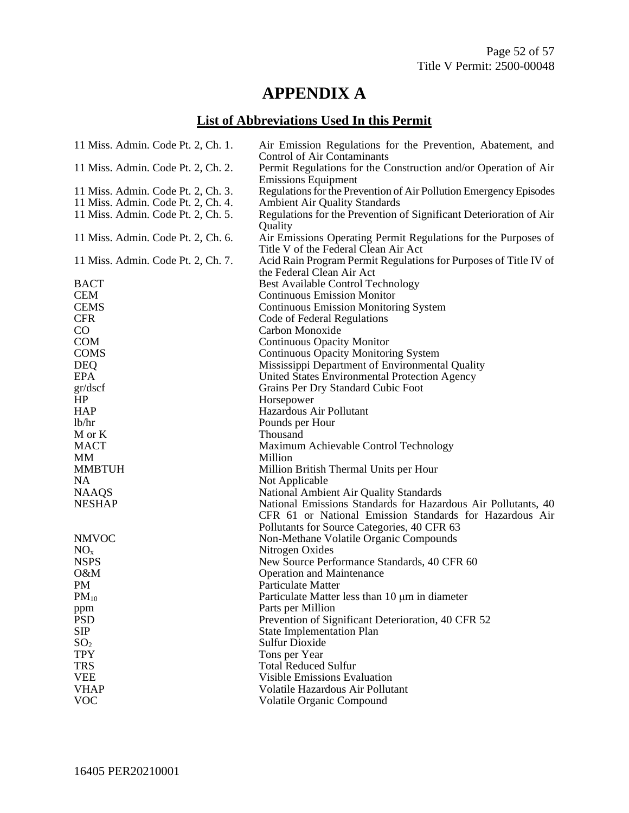## **APPENDIX A**

## **List of Abbreviations Used In this Permit**

| 11 Miss. Admin. Code Pt. 2, Ch. 1. | Air Emission Regulations for the Prevention, Abatement, and<br><b>Control of Air Contaminants</b>      |
|------------------------------------|--------------------------------------------------------------------------------------------------------|
| 11 Miss. Admin. Code Pt. 2, Ch. 2. | Permit Regulations for the Construction and/or Operation of Air                                        |
|                                    | <b>Emissions Equipment</b>                                                                             |
| 11 Miss. Admin. Code Pt. 2, Ch. 3. | Regulations for the Prevention of Air Pollution Emergency Episodes                                     |
| 11 Miss. Admin. Code Pt. 2, Ch. 4. | <b>Ambient Air Quality Standards</b>                                                                   |
| 11 Miss. Admin. Code Pt. 2, Ch. 5. | Regulations for the Prevention of Significant Deterioration of Air<br>Quality                          |
| 11 Miss. Admin. Code Pt. 2, Ch. 6. | Air Emissions Operating Permit Regulations for the Purposes of<br>Title V of the Federal Clean Air Act |
| 11 Miss. Admin. Code Pt. 2, Ch. 7. | Acid Rain Program Permit Regulations for Purposes of Title IV of<br>the Federal Clean Air Act          |
| <b>BACT</b>                        | <b>Best Available Control Technology</b>                                                               |
| <b>CEM</b>                         | <b>Continuous Emission Monitor</b>                                                                     |
| <b>CEMS</b>                        | <b>Continuous Emission Monitoring System</b>                                                           |
| <b>CFR</b>                         | Code of Federal Regulations                                                                            |
| $\rm CO$                           | Carbon Monoxide                                                                                        |
| <b>COM</b>                         | <b>Continuous Opacity Monitor</b>                                                                      |
| <b>COMS</b>                        | <b>Continuous Opacity Monitoring System</b>                                                            |
| <b>DEQ</b>                         | Mississippi Department of Environmental Quality                                                        |
| <b>EPA</b>                         | United States Environmental Protection Agency                                                          |
| gr/dscf                            | Grains Per Dry Standard Cubic Foot                                                                     |
| HP                                 | Horsepower                                                                                             |
| <b>HAP</b>                         | Hazardous Air Pollutant                                                                                |
| lb/hr                              | Pounds per Hour                                                                                        |
| M or K                             | Thousand                                                                                               |
| <b>MACT</b>                        | Maximum Achievable Control Technology                                                                  |
| MМ                                 | Million                                                                                                |
| <b>MMBTUH</b>                      | Million British Thermal Units per Hour                                                                 |
| <b>NA</b>                          | Not Applicable                                                                                         |
| <b>NAAQS</b>                       | National Ambient Air Quality Standards                                                                 |
| <b>NESHAP</b>                      | National Emissions Standards for Hazardous Air Pollutants, 40                                          |
|                                    | CFR 61 or National Emission Standards for Hazardous Air                                                |
|                                    | Pollutants for Source Categories, 40 CFR 63                                                            |
| <b>NMVOC</b>                       | Non-Methane Volatile Organic Compounds                                                                 |
| NO <sub>x</sub>                    | Nitrogen Oxides                                                                                        |
| <b>NSPS</b>                        | New Source Performance Standards, 40 CFR 60                                                            |
| O&M                                | <b>Operation and Maintenance</b>                                                                       |
| PM                                 | <b>Particulate Matter</b>                                                                              |
| $PM_{10}$                          | Particulate Matter less than 10 µm in diameter                                                         |
| ppm                                | Parts per Million                                                                                      |
| <b>PSD</b>                         | Prevention of Significant Deterioration, 40 CFR 52                                                     |
| <b>SIP</b>                         | <b>State Implementation Plan</b>                                                                       |
| SO <sub>2</sub>                    | <b>Sulfur Dioxide</b>                                                                                  |
| <b>TPY</b>                         | Tons per Year                                                                                          |
| <b>TRS</b>                         | <b>Total Reduced Sulfur</b>                                                                            |
| <b>VEE</b>                         | <b>Visible Emissions Evaluation</b>                                                                    |
| <b>VHAP</b>                        | Volatile Hazardous Air Pollutant                                                                       |
| <b>VOC</b>                         | Volatile Organic Compound                                                                              |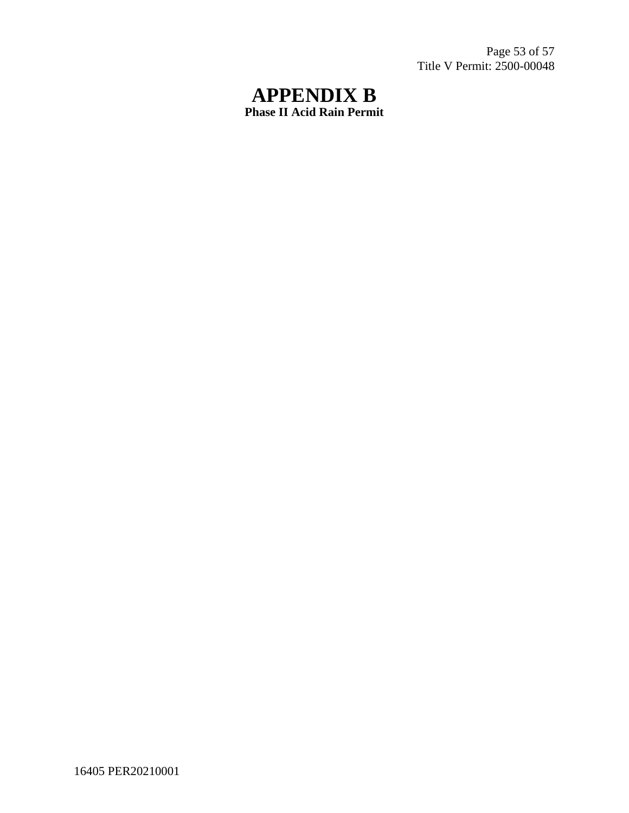Page 53 of 57 Title V Permit: 2500-00048

## **APPENDIX B Phase II Acid Rain Permit**

16405 PER20210001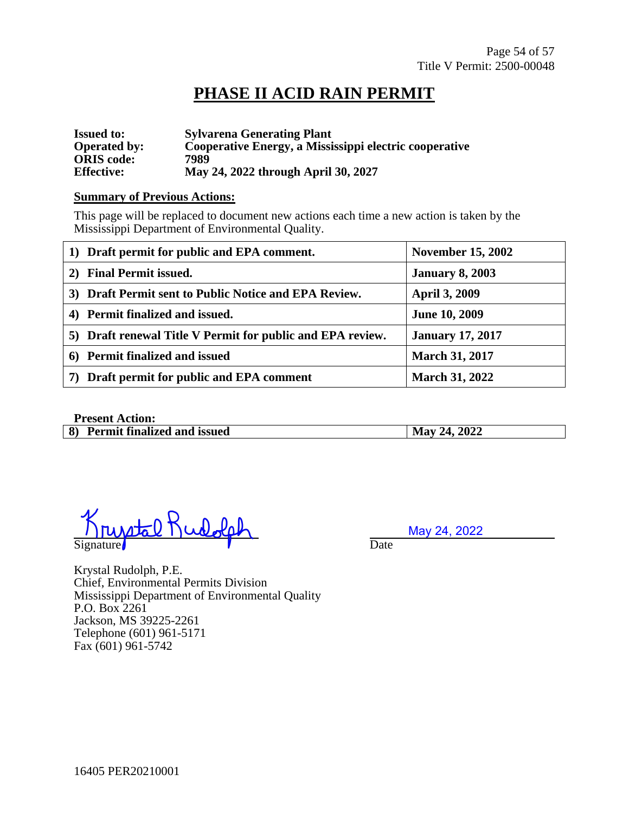## **PHASE II ACID RAIN PERMIT**

| <b>Issued to:</b>   | <b>Sylvarena Generating Plant</b>                      |
|---------------------|--------------------------------------------------------|
| <b>Operated by:</b> | Cooperative Energy, a Mississippi electric cooperative |
| <b>ORIS</b> code:   | 7989                                                   |
| <b>Effective:</b>   | May 24, 2022 through April 30, 2027                    |

#### **Summary of Previous Actions:**

This page will be replaced to document new actions each time a new action is taken by the Mississippi Department of Environmental Quality.

| 1) Draft permit for public and EPA comment.                | <b>November 15, 2002</b> |
|------------------------------------------------------------|--------------------------|
| 2) Final Permit issued.                                    | <b>January 8, 2003</b>   |
| Draft Permit sent to Public Notice and EPA Review.<br>3)   | <b>April 3, 2009</b>     |
| 4) Permit finalized and issued.                            | <b>June 10, 2009</b>     |
| 5) Draft renewal Title V Permit for public and EPA review. | <b>January 17, 2017</b>  |
| 6) Permit finalized and issued                             | <b>March 31, 2017</b>    |
| Draft permit for public and EPA comment                    | <b>March 31, 2022</b>    |

#### **Present Action:**

| $\sim$ 1000011010010111                  |              |
|------------------------------------------|--------------|
| 8)<br><b>Permit finalized and issued</b> | May 24, 2022 |

Signature Date **Date** 

May 24, 2022

Krystal Rudolph, P.E. Chief, Environmental Permits Division Mississippi Department of Environmental Quality P.O. Box 2261 Jackson, MS 39225-2261 Telephone (601) 961-5171 Fax (601) 961-5742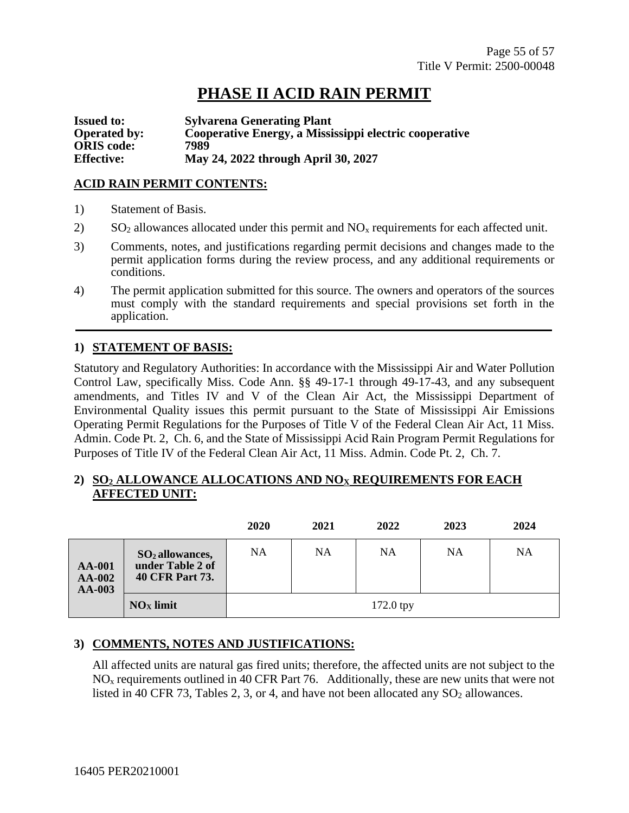## **PHASE II ACID RAIN PERMIT**

**Issued to: Sylvarena Generating Plant Operated by: Cooperative Energy, a Mississippi electric cooperative ORIS code: 7989 Effective: May 24, 2022 through April 30, 2027**

#### **ACID RAIN PERMIT CONTENTS:**

- 1) Statement of Basis.
- 2) SO<sub>2</sub> allowances allocated under this permit and  $NO<sub>x</sub>$  requirements for each affected unit.
- 3) Comments, notes, and justifications regarding permit decisions and changes made to the permit application forms during the review process, and any additional requirements or conditions.
- 4) The permit application submitted for this source. The owners and operators of the sources must comply with the standard requirements and special provisions set forth in the application.

#### **1) STATEMENT OF BASIS:**

Statutory and Regulatory Authorities: In accordance with the Mississippi Air and Water Pollution Control Law, specifically Miss. Code Ann. §§ 49-17-1 through 49-17-43, and any subsequent amendments, and Titles IV and V of the Clean Air Act, the Mississippi Department of Environmental Quality issues this permit pursuant to the State of Mississippi Air Emissions Operating Permit Regulations for the Purposes of Title V of the Federal Clean Air Act, 11 Miss. Admin. Code Pt. 2, Ch. 6, and the State of Mississippi Acid Rain Program Permit Regulations for Purposes of Title IV of the Federal Clean Air Act, 11 Miss. Admin. Code Pt. 2, Ch. 7.

#### **2) SO<sup>2</sup> ALLOWANCE ALLOCATIONS AND NO<sup>X</sup> REQUIREMENTS FOR EACH AFFECTED UNIT:**

|                                            |                                                          | 2020        | 2021 | 2022 | 2023 | 2024 |
|--------------------------------------------|----------------------------------------------------------|-------------|------|------|------|------|
| <b>AA-001</b><br><b>AA-002</b><br>$AA-003$ | $SO2$ allowances,<br>under Table 2 of<br>40 CFR Part 73. | NA          | NA   | NA   | NA   | NA   |
|                                            | $NOx$ limit                                              | $172.0$ tpy |      |      |      |      |

#### **3) COMMENTS, NOTES AND JUSTIFICATIONS:**

All affected units are natural gas fired units; therefore, the affected units are not subject to the  $NO<sub>x</sub>$  requirements outlined in 40 CFR Part 76. Additionally, these are new units that were not listed in 40 CFR 73, Tables 2, 3, or 4, and have not been allocated any  $SO_2$  allowances.